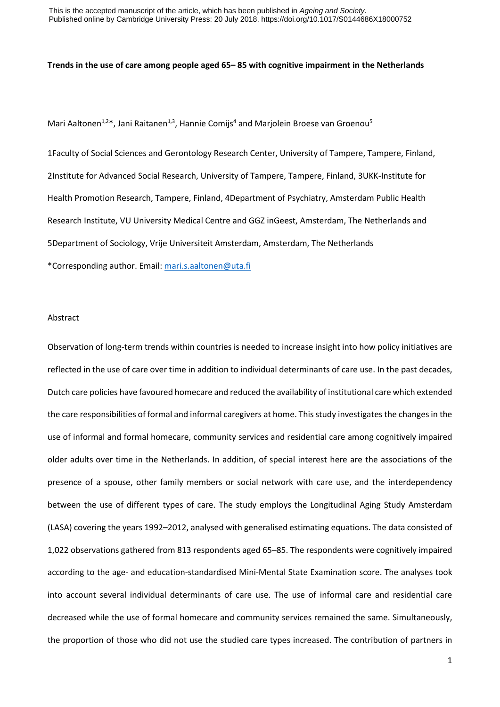## **Trends in the use of care among people aged 65– 85 with cognitive impairment in the Netherlands**

Mari Aaltonen<sup>1,2\*</sup>, Jani Raitanen<sup>1,3</sup>, Hannie Comijs<sup>4</sup> and Marjolein Broese van Groenou<sup>5</sup>

1Faculty of Social Sciences and Gerontology Research Center, University of Tampere, Tampere, Finland, 2Institute for Advanced Social Research, University of Tampere, Tampere, Finland, 3UKK-Institute for Health Promotion Research, Tampere, Finland, 4Department of Psychiatry, Amsterdam Public Health Research Institute, VU University Medical Centre and GGZ inGeest, Amsterdam, The Netherlands and 5Department of Sociology, Vrije Universiteit Amsterdam, Amsterdam, The Netherlands \*Corresponding author. Email[: mari.s.aaltonen@uta.fi](mailto:mari.s.aaltonen@uta.fi)

#### Abstract

Observation of long-term trends within countries is needed to increase insight into how policy initiatives are reflected in the use of care over time in addition to individual determinants of care use. In the past decades, Dutch care policies have favoured homecare and reduced the availability of institutional care which extended the care responsibilities of formal and informal caregivers at home. This study investigates the changes in the use of informal and formal homecare, community services and residential care among cognitively impaired older adults over time in the Netherlands. In addition, of special interest here are the associations of the presence of a spouse, other family members or social network with care use, and the interdependency between the use of different types of care. The study employs the Longitudinal Aging Study Amsterdam (LASA) covering the years 1992–2012, analysed with generalised estimating equations. The data consisted of 1,022 observations gathered from 813 respondents aged 65–85. The respondents were cognitively impaired according to the age- and education-standardised Mini-Mental State Examination score. The analyses took into account several individual determinants of care use. The use of informal care and residential care decreased while the use of formal homecare and community services remained the same. Simultaneously, the proportion of those who did not use the studied care types increased. The contribution of partners in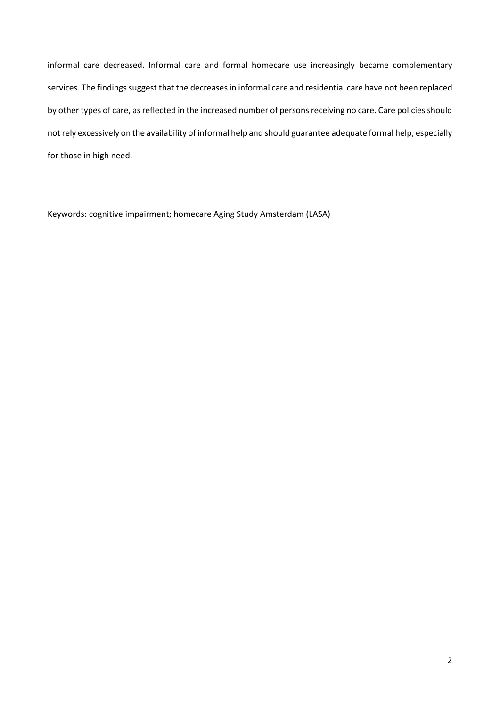informal care decreased. Informal care and formal homecare use increasingly became complementary services. The findings suggest that the decreases in informal care and residential care have not been replaced by other types of care, as reflected in the increased number of persons receiving no care. Care policies should not rely excessively on the availability of informal help and should guarantee adequate formal help, especially for those in high need.

Keywords: cognitive impairment; homecare Aging Study Amsterdam (LASA)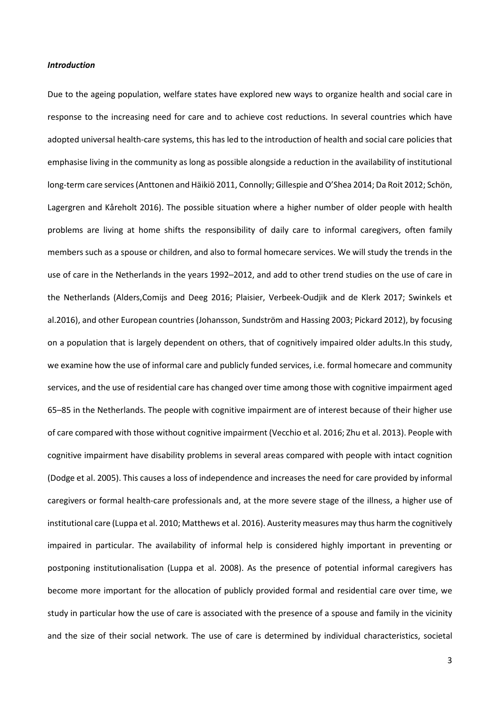# *Introduction*

Due to the ageing population, welfare states have explored new ways to organize health and social care in response to the increasing need for care and to achieve cost reductions. In several countries which have adopted universal health-care systems, this has led to the introduction of health and social care policies that emphasise living in the community as long as possible alongside a reduction in the availability of institutional long-term care services (Anttonen and Häikiö 2011, Connolly; Gillespie and O'Shea 2014; Da Roit 2012; Schön, Lagergren and Kåreholt 2016). The possible situation where a higher number of older people with health problems are living at home shifts the responsibility of daily care to informal caregivers, often family members such as a spouse or children, and also to formal homecare services. We will study the trends in the use of care in the Netherlands in the years 1992–2012, and add to other trend studies on the use of care in the Netherlands (Alders,Comijs and Deeg 2016; Plaisier, Verbeek-Oudjik and de Klerk 2017; Swinkels et al.2016), and other European countries (Johansson, Sundström and Hassing 2003; Pickard 2012), by focusing on a population that is largely dependent on others, that of cognitively impaired older adults.In this study, we examine how the use of informal care and publicly funded services, i.e. formal homecare and community services, and the use of residential care has changed over time among those with cognitive impairment aged 65–85 in the Netherlands. The people with cognitive impairment are of interest because of their higher use of care compared with those without cognitive impairment (Vecchio et al. 2016; Zhu et al. 2013). People with cognitive impairment have disability problems in several areas compared with people with intact cognition (Dodge et al. 2005). This causes a loss of independence and increases the need for care provided by informal caregivers or formal health-care professionals and, at the more severe stage of the illness, a higher use of institutional care (Luppa et al. 2010; Matthews et al. 2016). Austerity measures may thus harm the cognitively impaired in particular. The availability of informal help is considered highly important in preventing or postponing institutionalisation (Luppa et al. 2008). As the presence of potential informal caregivers has become more important for the allocation of publicly provided formal and residential care over time, we study in particular how the use of care is associated with the presence of a spouse and family in the vicinity and the size of their social network. The use of care is determined by individual characteristics, societal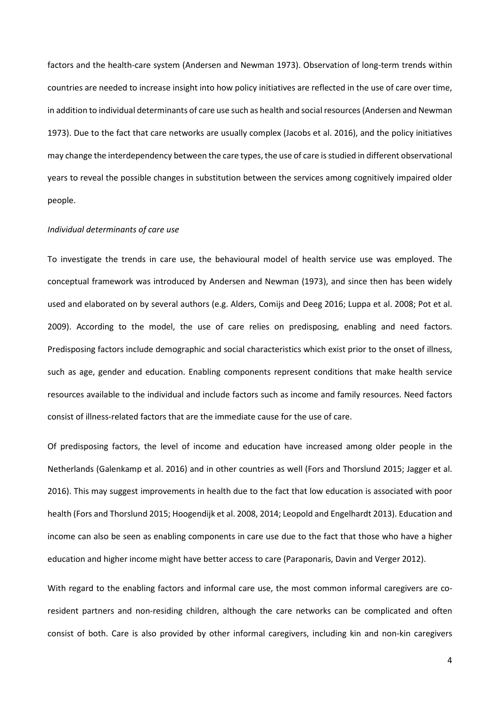factors and the health-care system (Andersen and Newman 1973). Observation of long-term trends within countries are needed to increase insight into how policy initiatives are reflected in the use of care over time, in addition to individual determinants of care use such as health and social resources (Andersen and Newman 1973). Due to the fact that care networks are usually complex (Jacobs et al. 2016), and the policy initiatives may change the interdependency between the care types, the use of care is studied in different observational years to reveal the possible changes in substitution between the services among cognitively impaired older people.

## *Individual determinants of care use*

To investigate the trends in care use, the behavioural model of health service use was employed. The conceptual framework was introduced by Andersen and Newman (1973), and since then has been widely used and elaborated on by several authors (e.g. Alders, Comijs and Deeg 2016; Luppa et al. 2008; Pot et al. 2009). According to the model, the use of care relies on predisposing, enabling and need factors. Predisposing factors include demographic and social characteristics which exist prior to the onset of illness, such as age, gender and education. Enabling components represent conditions that make health service resources available to the individual and include factors such as income and family resources. Need factors consist of illness-related factors that are the immediate cause for the use of care.

Of predisposing factors, the level of income and education have increased among older people in the Netherlands (Galenkamp et al. 2016) and in other countries as well (Fors and Thorslund 2015; Jagger et al. 2016). This may suggest improvements in health due to the fact that low education is associated with poor health (Fors and Thorslund 2015; Hoogendijk et al. 2008, 2014; Leopold and Engelhardt 2013). Education and income can also be seen as enabling components in care use due to the fact that those who have a higher education and higher income might have better access to care (Paraponaris, Davin and Verger 2012).

With regard to the enabling factors and informal care use, the most common informal caregivers are coresident partners and non-residing children, although the care networks can be complicated and often consist of both. Care is also provided by other informal caregivers, including kin and non-kin caregivers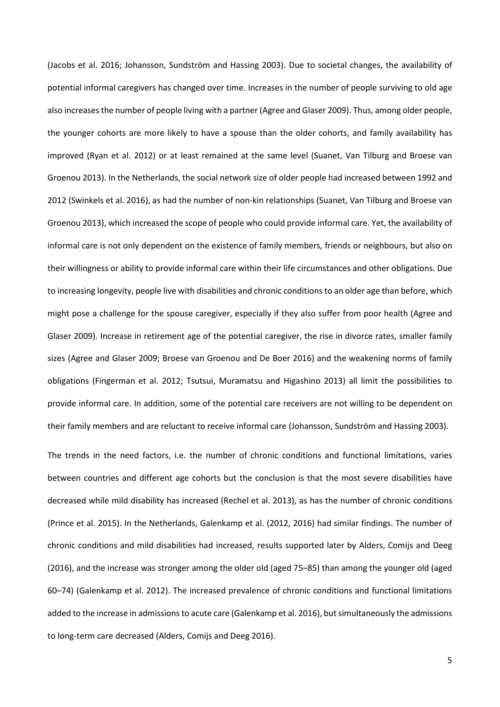(Jacobs et al. 2016; Johansson, Sundström and Hassing 2003). Due to societal changes, the availability of potential informal caregivers has changed over time. Increases in the number of people surviving to old age also increases the number of people living with a partner (Agree and Glaser 2009). Thus, among older people, the younger cohorts are more likely to have a spouse than the older cohorts, and family availability has improved (Ryan et al. 2012) or at least remained at the same level (Suanet, Van Tilburg and Broese van Groenou 2013). In the Netherlands, the social network size of older people had increased between 1992 and 2012 (Swinkels et al. 2016), as had the number of non-kin relationships (Suanet, Van Tilburg and Broese van Groenou 2013), which increased the scope of people who could provide informal care. Yet, the availability of informal care is not only dependent on the existence of family members, friends or neighbours, but also on their willingness or ability to provide informal care within their life circumstances and other obligations. Due to increasing longevity, people live with disabilities and chronic conditions to an older age than before, which might pose a challenge for the spouse caregiver, especially if they also suffer from poor health (Agree and Glaser 2009). Increase in retirement age of the potential caregiver, the rise in divorce rates, smaller family sizes (Agree and Glaser 2009; Broese van Groenou and De Boer 2016) and the weakening norms of family obligations (Fingerman et al. 2012; Tsutsui, Muramatsu and Higashino 2013) all limit the possibilities to provide informal care. In addition, some of the potential care receivers are not willing to be dependent on their family members and are reluctant to receive informal care (Johansson, Sundström and Hassing 2003).

The trends in the need factors, i.e. the number of chronic conditions and functional limitations, varies between countries and different age cohorts but the conclusion is that the most severe disabilities have decreased while mild disability has increased (Rechel et al. 2013), as has the number of chronic conditions (Prince et al. 2015). In the Netherlands, Galenkamp et al. (2012, 2016) had similar findings. The number of chronic conditions and mild disabilities had increased, results supported later by Alders, Comijs and Deeg (2016), and the increase was stronger among the older old (aged 75–85) than among the younger old (aged 60–74) (Galenkamp et al. 2012). The increased prevalence of chronic conditions and functional limitations added to the increase in admissions to acute care (Galenkamp et al. 2016), but simultaneously the admissions to long-term care decreased (Alders, Comijs and Deeg 2016).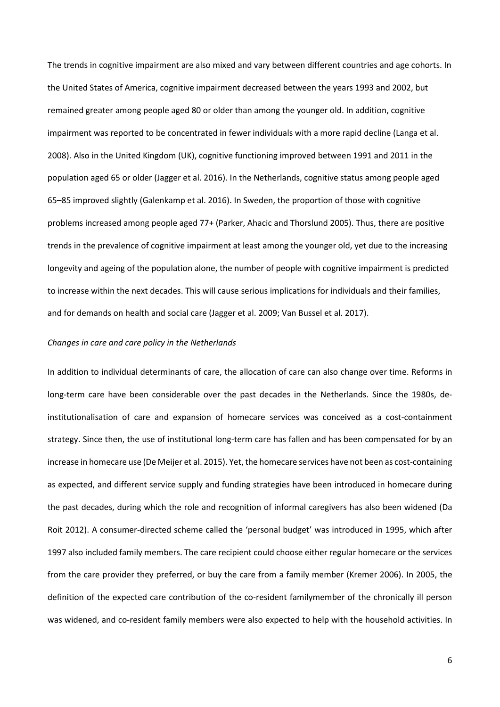The trends in cognitive impairment are also mixed and vary between different countries and age cohorts. In the United States of America, cognitive impairment decreased between the years 1993 and 2002, but remained greater among people aged 80 or older than among the younger old. In addition, cognitive impairment was reported to be concentrated in fewer individuals with a more rapid decline (Langa et al. 2008). Also in the United Kingdom (UK), cognitive functioning improved between 1991 and 2011 in the population aged 65 or older (Jagger et al. 2016). In the Netherlands, cognitive status among people aged 65–85 improved slightly (Galenkamp et al. 2016). In Sweden, the proportion of those with cognitive problems increased among people aged 77+ (Parker, Ahacic and Thorslund 2005). Thus, there are positive trends in the prevalence of cognitive impairment at least among the younger old, yet due to the increasing longevity and ageing of the population alone, the number of people with cognitive impairment is predicted to increase within the next decades. This will cause serious implications for individuals and their families, and for demands on health and social care (Jagger et al. 2009; Van Bussel et al. 2017).

## *Changes in care and care policy in the Netherlands*

In addition to individual determinants of care, the allocation of care can also change over time. Reforms in long-term care have been considerable over the past decades in the Netherlands. Since the 1980s, deinstitutionalisation of care and expansion of homecare services was conceived as a cost-containment strategy. Since then, the use of institutional long-term care has fallen and has been compensated for by an increase in homecare use (De Meijer et al. 2015). Yet, the homecare services have not been as cost-containing as expected, and different service supply and funding strategies have been introduced in homecare during the past decades, during which the role and recognition of informal caregivers has also been widened (Da Roit 2012). A consumer-directed scheme called the 'personal budget' was introduced in 1995, which after 1997 also included family members. The care recipient could choose either regular homecare or the services from the care provider they preferred, or buy the care from a family member (Kremer 2006). In 2005, the definition of the expected care contribution of the co-resident familymember of the chronically ill person was widened, and co-resident family members were also expected to help with the household activities. In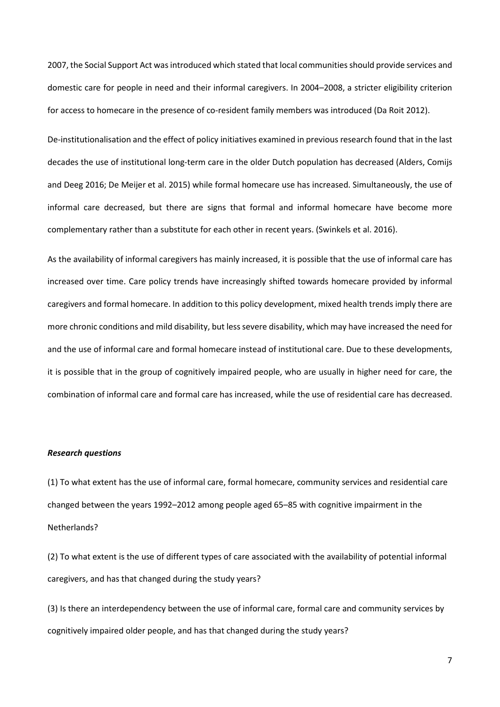2007, the Social Support Act was introduced which stated that local communities should provide services and domestic care for people in need and their informal caregivers. In 2004–2008, a stricter eligibility criterion for access to homecare in the presence of co-resident family members was introduced (Da Roit 2012).

De-institutionalisation and the effect of policy initiatives examined in previous research found that in the last decades the use of institutional long-term care in the older Dutch population has decreased (Alders, Comijs and Deeg 2016; De Meijer et al. 2015) while formal homecare use has increased. Simultaneously, the use of informal care decreased, but there are signs that formal and informal homecare have become more complementary rather than a substitute for each other in recent years. (Swinkels et al. 2016).

As the availability of informal caregivers has mainly increased, it is possible that the use of informal care has increased over time. Care policy trends have increasingly shifted towards homecare provided by informal caregivers and formal homecare. In addition to this policy development, mixed health trends imply there are more chronic conditions and mild disability, but less severe disability, which may have increased the need for and the use of informal care and formal homecare instead of institutional care. Due to these developments, it is possible that in the group of cognitively impaired people, who are usually in higher need for care, the combination of informal care and formal care has increased, while the use of residential care has decreased.

#### *Research questions*

(1) To what extent has the use of informal care, formal homecare, community services and residential care changed between the years 1992–2012 among people aged 65–85 with cognitive impairment in the Netherlands?

(2) To what extent is the use of different types of care associated with the availability of potential informal caregivers, and has that changed during the study years?

(3) Is there an interdependency between the use of informal care, formal care and community services by cognitively impaired older people, and has that changed during the study years?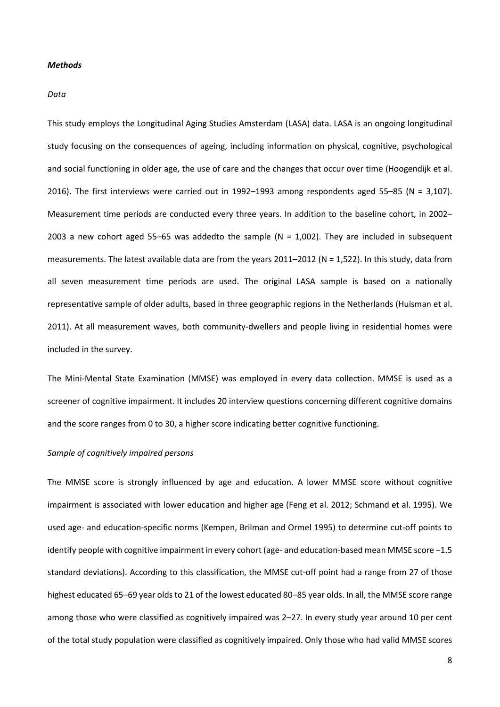# *Methods*

## *Data*

This study employs the Longitudinal Aging Studies Amsterdam (LASA) data. LASA is an ongoing longitudinal study focusing on the consequences of ageing, including information on physical, cognitive, psychological and social functioning in older age, the use of care and the changes that occur over time (Hoogendijk et al. 2016). The first interviews were carried out in 1992–1993 among respondents aged 55–85 (N = 3,107). Measurement time periods are conducted every three years. In addition to the baseline cohort, in 2002– 2003 a new cohort aged 55–65 was addedto the sample ( $N = 1,002$ ). They are included in subsequent measurements. The latest available data are from the years 2011–2012 (N = 1,522). In this study, data from all seven measurement time periods are used. The original LASA sample is based on a nationally representative sample of older adults, based in three geographic regions in the Netherlands (Huisman et al. 2011). At all measurement waves, both community-dwellers and people living in residential homes were included in the survey.

The Mini-Mental State Examination (MMSE) was employed in every data collection. MMSE is used as a screener of cognitive impairment. It includes 20 interview questions concerning different cognitive domains and the score ranges from 0 to 30, a higher score indicating better cognitive functioning.

## *Sample of cognitively impaired persons*

The MMSE score is strongly influenced by age and education. A lower MMSE score without cognitive impairment is associated with lower education and higher age (Feng et al. 2012; Schmand et al. 1995). We used age- and education-specific norms (Kempen, Brilman and Ormel 1995) to determine cut-off points to identify people with cognitive impairment in every cohort (age- and education-based mean MMSE score −1.5 standard deviations). According to this classification, the MMSE cut-off point had a range from 27 of those highest educated 65–69 year olds to 21 of the lowest educated 80–85 year olds. In all, the MMSE score range among those who were classified as cognitively impaired was 2–27. In every study year around 10 per cent of the total study population were classified as cognitively impaired. Only those who had valid MMSE scores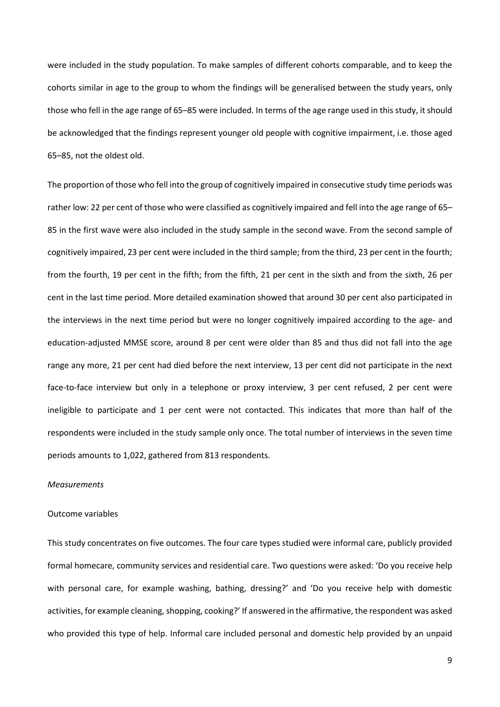were included in the study population. To make samples of different cohorts comparable, and to keep the cohorts similar in age to the group to whom the findings will be generalised between the study years, only those who fell in the age range of 65–85 were included. In terms of the age range used in this study, it should be acknowledged that the findings represent younger old people with cognitive impairment, i.e. those aged 65–85, not the oldest old.

The proportion of those who fell into the group of cognitively impaired in consecutive study time periods was rather low: 22 per cent of those who were classified as cognitively impaired and fell into the age range of 65– 85 in the first wave were also included in the study sample in the second wave. From the second sample of cognitively impaired, 23 per cent were included in the third sample; from the third, 23 per cent in the fourth; from the fourth, 19 per cent in the fifth; from the fifth, 21 per cent in the sixth and from the sixth, 26 per cent in the last time period. More detailed examination showed that around 30 per cent also participated in the interviews in the next time period but were no longer cognitively impaired according to the age- and education-adjusted MMSE score, around 8 per cent were older than 85 and thus did not fall into the age range any more, 21 per cent had died before the next interview, 13 per cent did not participate in the next face-to-face interview but only in a telephone or proxy interview, 3 per cent refused, 2 per cent were ineligible to participate and 1 per cent were not contacted. This indicates that more than half of the respondents were included in the study sample only once. The total number of interviews in the seven time periods amounts to 1,022, gathered from 813 respondents.

## *Measurements*

## Outcome variables

This study concentrates on five outcomes. The four care types studied were informal care, publicly provided formal homecare, community services and residential care. Two questions were asked: 'Do you receive help with personal care, for example washing, bathing, dressing?' and 'Do you receive help with domestic activities, for example cleaning, shopping, cooking?' If answered in the affirmative, the respondent was asked who provided this type of help. Informal care included personal and domestic help provided by an unpaid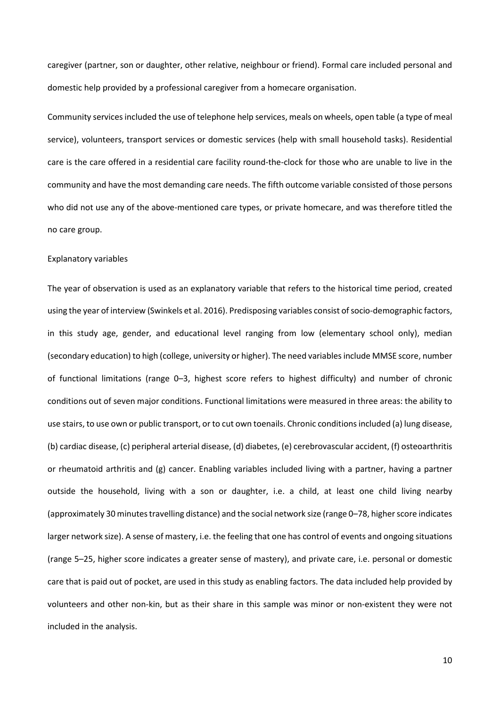caregiver (partner, son or daughter, other relative, neighbour or friend). Formal care included personal and domestic help provided by a professional caregiver from a homecare organisation.

Community services included the use of telephone help services, meals on wheels, open table (a type of meal service), volunteers, transport services or domestic services (help with small household tasks). Residential care is the care offered in a residential care facility round-the-clock for those who are unable to live in the community and have the most demanding care needs. The fifth outcome variable consisted of those persons who did not use any of the above-mentioned care types, or private homecare, and was therefore titled the no care group.

#### Explanatory variables

The year of observation is used as an explanatory variable that refers to the historical time period, created using the year of interview (Swinkels et al. 2016). Predisposing variables consist of socio-demographic factors, in this study age, gender, and educational level ranging from low (elementary school only), median (secondary education) to high (college, university or higher). The need variablesinclude MMSE score, number of functional limitations (range 0–3, highest score refers to highest difficulty) and number of chronic conditions out of seven major conditions. Functional limitations were measured in three areas: the ability to use stairs, to use own or public transport, or to cut own toenails. Chronic conditionsincluded (a) lung disease, (b) cardiac disease, (c) peripheral arterial disease, (d) diabetes, (e) cerebrovascular accident, (f) osteoarthritis or rheumatoid arthritis and (g) cancer. Enabling variables included living with a partner, having a partner outside the household, living with a son or daughter, i.e. a child, at least one child living nearby (approximately 30 minutes travelling distance) and the social network size (range 0–78, higher score indicates larger network size). A sense of mastery, i.e. the feeling that one has control of events and ongoing situations (range 5–25, higher score indicates a greater sense of mastery), and private care, i.e. personal or domestic care that is paid out of pocket, are used in this study as enabling factors. The data included help provided by volunteers and other non-kin, but as their share in this sample was minor or non-existent they were not included in the analysis.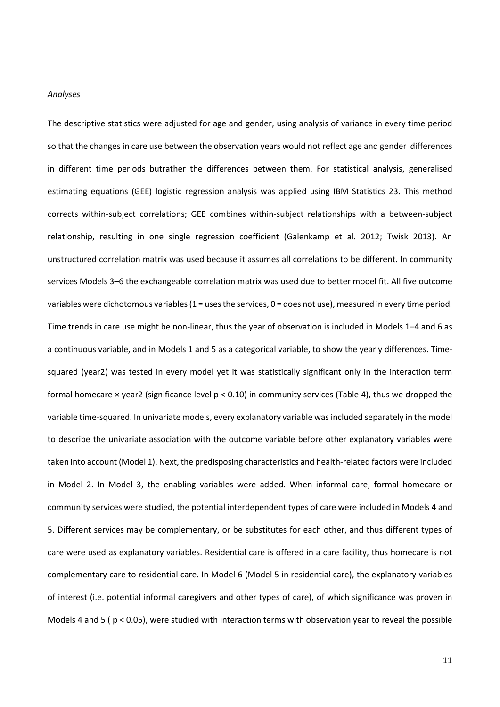#### *Analyses*

The descriptive statistics were adjusted for age and gender, using analysis of variance in every time period so that the changes in care use between the observation years would not reflect age and gender differences in different time periods butrather the differences between them. For statistical analysis, generalised estimating equations (GEE) logistic regression analysis was applied using IBM Statistics 23. This method corrects within-subject correlations; GEE combines within-subject relationships with a between-subject relationship, resulting in one single regression coefficient (Galenkamp et al. 2012; Twisk 2013). An unstructured correlation matrix was used because it assumes all correlations to be different. In community services Models 3–6 the exchangeable correlation matrix was used due to better model fit. All five outcome variables were dichotomous variables (1 = uses the services, 0 = does not use), measured in every time period. Time trends in care use might be non-linear, thus the year of observation is included in Models 1–4 and 6 as a continuous variable, and in Models 1 and 5 as a categorical variable, to show the yearly differences. Timesquared (year2) was tested in every model yet it was statistically significant only in the interaction term formal homecare × year2 (significance level p < 0.10) in community services (Table 4), thus we dropped the variable time-squared. In univariate models, every explanatory variable was included separately in the model to describe the univariate association with the outcome variable before other explanatory variables were taken into account (Model 1). Next, the predisposing characteristics and health-related factors were included in Model 2. In Model 3, the enabling variables were added. When informal care, formal homecare or community services were studied, the potential interdependent types of care were included in Models 4 and 5. Different services may be complementary, or be substitutes for each other, and thus different types of care were used as explanatory variables. Residential care is offered in a care facility, thus homecare is not complementary care to residential care. In Model 6 (Model 5 in residential care), the explanatory variables of interest (i.e. potential informal caregivers and other types of care), of which significance was proven in Models 4 and 5 ( $p < 0.05$ ), were studied with interaction terms with observation year to reveal the possible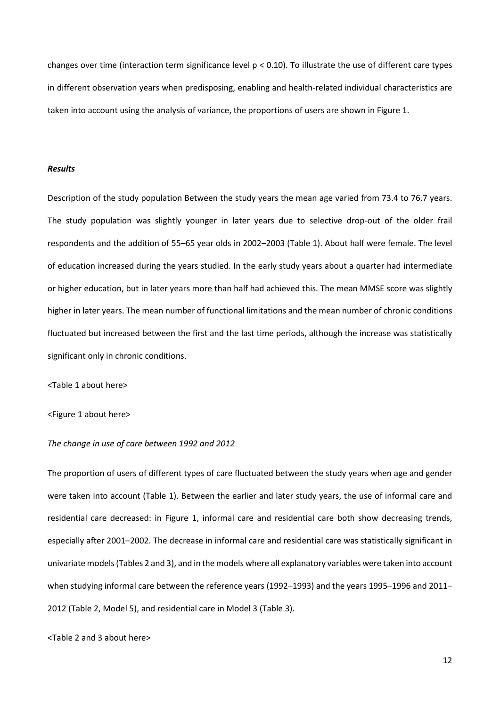changes over time (interaction term significance level p < 0.10). To illustrate the use of different care types in different observation years when predisposing, enabling and health-related individual characteristics are taken into account using the analysis of variance, the proportions of users are shown in Figure 1.

## *Results*

Description of the study population Between the study years the mean age varied from 73.4 to 76.7 years. The study population was slightly younger in later years due to selective drop-out of the older frail respondents and the addition of 55–65 year olds in 2002–2003 (Table 1). About half were female. The level of education increased during the years studied. In the early study years about a quarter had intermediate or higher education, but in later years more than half had achieved this. The mean MMSE score was slightly higher in later years. The mean number of functional limitations and the mean number of chronic conditions fluctuated but increased between the first and the last time periods, although the increase was statistically significant only in chronic conditions.

<Table 1 about here>

<Figure 1 about here>

## *The change in use of care between 1992 and 2012*

The proportion of users of different types of care fluctuated between the study years when age and gender were taken into account (Table 1). Between the earlier and later study years, the use of informal care and residential care decreased: in Figure 1, informal care and residential care both show decreasing trends, especially after 2001–2002. The decrease in informal care and residential care was statistically significant in univariate models (Tables 2 and 3), and in the models where all explanatory variables were taken into account when studying informal care between the reference years (1992–1993) and the years 1995–1996 and 2011– 2012 (Table 2, Model 5), and residential care in Model 3 (Table 3).

<Table 2 and 3 about here>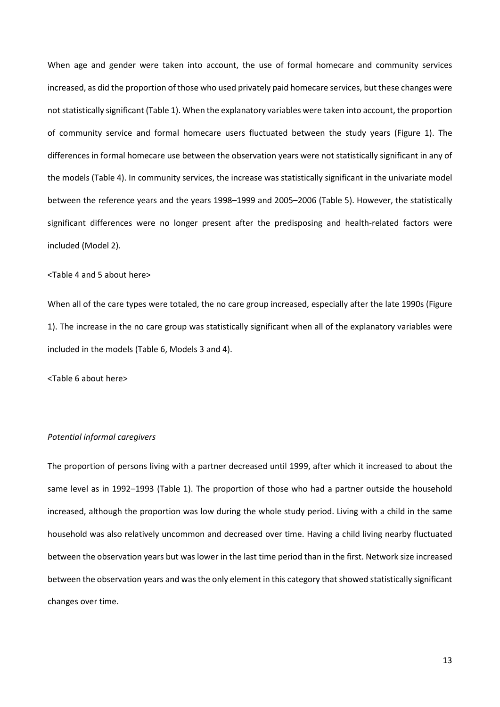When age and gender were taken into account, the use of formal homecare and community services increased, as did the proportion of those who used privately paid homecare services, but these changes were not statistically significant (Table 1). When the explanatory variables were taken into account, the proportion of community service and formal homecare users fluctuated between the study years (Figure 1). The differences in formal homecare use between the observation years were not statistically significant in any of the models (Table 4). In community services, the increase was statistically significant in the univariate model between the reference years and the years 1998–1999 and 2005–2006 (Table 5). However, the statistically significant differences were no longer present after the predisposing and health-related factors were included (Model 2).

## <Table 4 and 5 about here>

When all of the care types were totaled, the no care group increased, especially after the late 1990s (Figure 1). The increase in the no care group was statistically significant when all of the explanatory variables were included in the models (Table 6, Models 3 and 4).

<Table 6 about here>

# *Potential informal caregivers*

The proportion of persons living with a partner decreased until 1999, after which it increased to about the same level as in 1992–1993 (Table 1). The proportion of those who had a partner outside the household increased, although the proportion was low during the whole study period. Living with a child in the same household was also relatively uncommon and decreased over time. Having a child living nearby fluctuated between the observation years but was lower in the last time period than in the first. Network size increased between the observation years and was the only element in this category that showed statistically significant changes over time.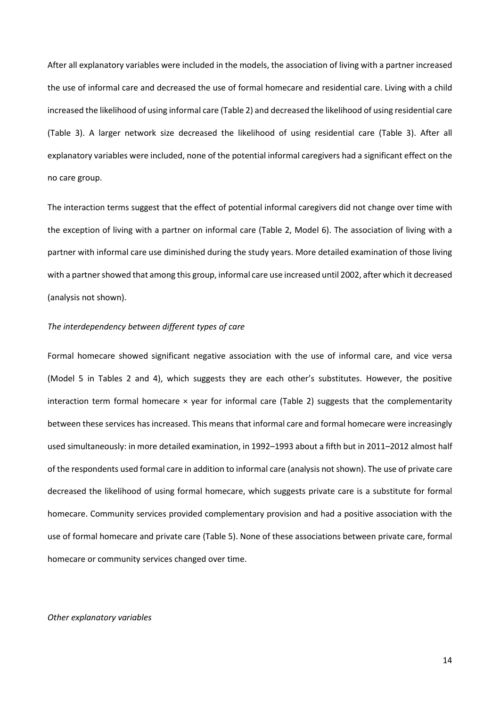After all explanatory variables were included in the models, the association of living with a partner increased the use of informal care and decreased the use of formal homecare and residential care. Living with a child increased the likelihood of using informal care (Table 2) and decreased the likelihood of using residential care (Table 3). A larger network size decreased the likelihood of using residential care (Table 3). After all explanatory variables were included, none of the potential informal caregivers had a significant effect on the no care group.

The interaction terms suggest that the effect of potential informal caregivers did not change over time with the exception of living with a partner on informal care (Table 2, Model 6). The association of living with a partner with informal care use diminished during the study years. More detailed examination of those living with a partner showed that among this group, informal care use increased until 2002, after which it decreased (analysis not shown).

# *The interdependency between different types of care*

Formal homecare showed significant negative association with the use of informal care, and vice versa (Model 5 in Tables 2 and 4), which suggests they are each other's substitutes. However, the positive interaction term formal homecare  $\times$  year for informal care (Table 2) suggests that the complementarity between these services has increased. This means that informal care and formal homecare were increasingly used simultaneously: in more detailed examination, in 1992–1993 about a fifth but in 2011–2012 almost half of the respondents used formal care in addition to informal care (analysis not shown). The use of private care decreased the likelihood of using formal homecare, which suggests private care is a substitute for formal homecare. Community services provided complementary provision and had a positive association with the use of formal homecare and private care (Table 5). None of these associations between private care, formal homecare or community services changed over time.

## *Other explanatory variables*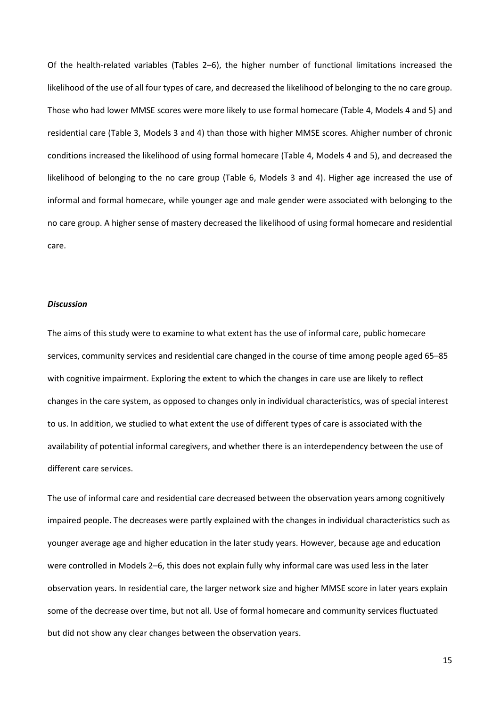Of the health-related variables (Tables 2–6), the higher number of functional limitations increased the likelihood of the use of all four types of care, and decreased the likelihood of belonging to the no care group. Those who had lower MMSE scores were more likely to use formal homecare (Table 4, Models 4 and 5) and residential care (Table 3, Models 3 and 4) than those with higher MMSE scores. Ahigher number of chronic conditions increased the likelihood of using formal homecare (Table 4, Models 4 and 5), and decreased the likelihood of belonging to the no care group (Table 6, Models 3 and 4). Higher age increased the use of informal and formal homecare, while younger age and male gender were associated with belonging to the no care group. A higher sense of mastery decreased the likelihood of using formal homecare and residential care.

## *Discussion*

The aims of this study were to examine to what extent has the use of informal care, public homecare services, community services and residential care changed in the course of time among people aged 65–85 with cognitive impairment. Exploring the extent to which the changes in care use are likely to reflect changes in the care system, as opposed to changes only in individual characteristics, was of special interest to us. In addition, we studied to what extent the use of different types of care is associated with the availability of potential informal caregivers, and whether there is an interdependency between the use of different care services.

The use of informal care and residential care decreased between the observation years among cognitively impaired people. The decreases were partly explained with the changes in individual characteristics such as younger average age and higher education in the later study years. However, because age and education were controlled in Models 2–6, this does not explain fully why informal care was used less in the later observation years. In residential care, the larger network size and higher MMSE score in later years explain some of the decrease over time, but not all. Use of formal homecare and community services fluctuated but did not show any clear changes between the observation years.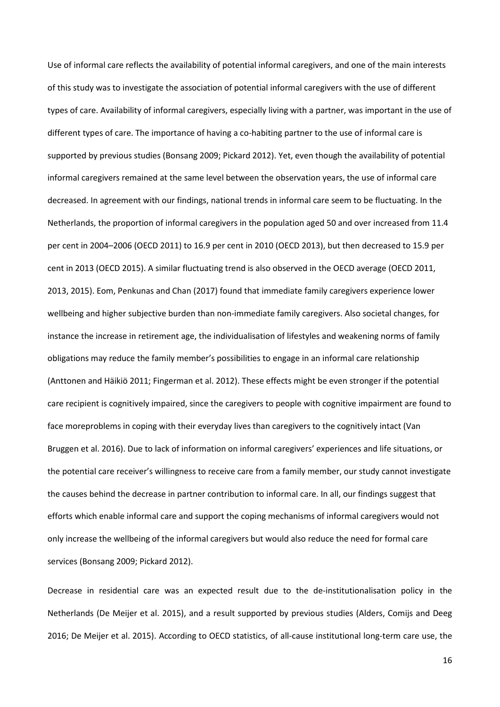Use of informal care reflects the availability of potential informal caregivers, and one of the main interests of this study was to investigate the association of potential informal caregivers with the use of different types of care. Availability of informal caregivers, especially living with a partner, was important in the use of different types of care. The importance of having a co-habiting partner to the use of informal care is supported by previous studies (Bonsang 2009; Pickard 2012). Yet, even though the availability of potential informal caregivers remained at the same level between the observation years, the use of informal care decreased. In agreement with our findings, national trends in informal care seem to be fluctuating. In the Netherlands, the proportion of informal caregivers in the population aged 50 and over increased from 11.4 per cent in 2004–2006 (OECD 2011) to 16.9 per cent in 2010 (OECD 2013), but then decreased to 15.9 per cent in 2013 (OECD 2015). A similar fluctuating trend is also observed in the OECD average (OECD 2011, 2013, 2015). Eom, Penkunas and Chan (2017) found that immediate family caregivers experience lower wellbeing and higher subjective burden than non-immediate family caregivers. Also societal changes, for instance the increase in retirement age, the individualisation of lifestyles and weakening norms of family obligations may reduce the family member's possibilities to engage in an informal care relationship (Anttonen and Häikiö 2011; Fingerman et al. 2012). These effects might be even stronger if the potential care recipient is cognitively impaired, since the caregivers to people with cognitive impairment are found to face moreproblems in coping with their everyday lives than caregivers to the cognitively intact (Van Bruggen et al. 2016). Due to lack of information on informal caregivers' experiences and life situations, or the potential care receiver's willingness to receive care from a family member, our study cannot investigate the causes behind the decrease in partner contribution to informal care. In all, our findings suggest that efforts which enable informal care and support the coping mechanisms of informal caregivers would not only increase the wellbeing of the informal caregivers but would also reduce the need for formal care services (Bonsang 2009; Pickard 2012).

Decrease in residential care was an expected result due to the de-institutionalisation policy in the Netherlands (De Meijer et al. 2015), and a result supported by previous studies (Alders, Comijs and Deeg 2016; De Meijer et al. 2015). According to OECD statistics, of all-cause institutional long-term care use, the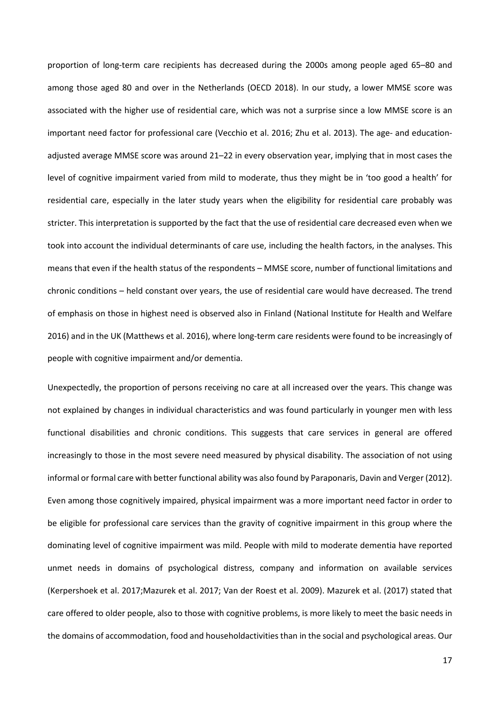proportion of long-term care recipients has decreased during the 2000s among people aged 65–80 and among those aged 80 and over in the Netherlands (OECD 2018). In our study, a lower MMSE score was associated with the higher use of residential care, which was not a surprise since a low MMSE score is an important need factor for professional care (Vecchio et al. 2016; Zhu et al. 2013). The age- and educationadjusted average MMSE score was around 21–22 in every observation year, implying that in most cases the level of cognitive impairment varied from mild to moderate, thus they might be in 'too good a health' for residential care, especially in the later study years when the eligibility for residential care probably was stricter. This interpretation is supported by the fact that the use of residential care decreased even when we took into account the individual determinants of care use, including the health factors, in the analyses. This means that even if the health status of the respondents – MMSE score, number of functional limitations and chronic conditions – held constant over years, the use of residential care would have decreased. The trend of emphasis on those in highest need is observed also in Finland (National Institute for Health and Welfare 2016) and in the UK (Matthews et al. 2016), where long-term care residents were found to be increasingly of people with cognitive impairment and/or dementia.

Unexpectedly, the proportion of persons receiving no care at all increased over the years. This change was not explained by changes in individual characteristics and was found particularly in younger men with less functional disabilities and chronic conditions. This suggests that care services in general are offered increasingly to those in the most severe need measured by physical disability. The association of not using informal or formal care with better functional ability was also found by Paraponaris, Davin and Verger (2012). Even among those cognitively impaired, physical impairment was a more important need factor in order to be eligible for professional care services than the gravity of cognitive impairment in this group where the dominating level of cognitive impairment was mild. People with mild to moderate dementia have reported unmet needs in domains of psychological distress, company and information on available services (Kerpershoek et al. 2017;Mazurek et al. 2017; Van der Roest et al. 2009). Mazurek et al. (2017) stated that care offered to older people, also to those with cognitive problems, is more likely to meet the basic needs in the domains of accommodation, food and householdactivities than in the social and psychological areas. Our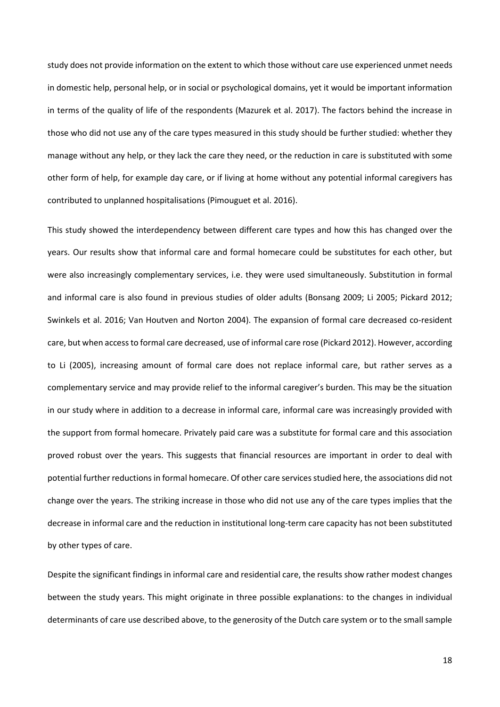study does not provide information on the extent to which those without care use experienced unmet needs in domestic help, personal help, or in social or psychological domains, yet it would be important information in terms of the quality of life of the respondents (Mazurek et al. 2017). The factors behind the increase in those who did not use any of the care types measured in this study should be further studied: whether they manage without any help, or they lack the care they need, or the reduction in care is substituted with some other form of help, for example day care, or if living at home without any potential informal caregivers has contributed to unplanned hospitalisations (Pimouguet et al. 2016).

This study showed the interdependency between different care types and how this has changed over the years. Our results show that informal care and formal homecare could be substitutes for each other, but were also increasingly complementary services, i.e. they were used simultaneously. Substitution in formal and informal care is also found in previous studies of older adults (Bonsang 2009; Li 2005; Pickard 2012; Swinkels et al. 2016; Van Houtven and Norton 2004). The expansion of formal care decreased co-resident care, but when access to formal care decreased, use of informal care rose (Pickard 2012). However, according to Li (2005), increasing amount of formal care does not replace informal care, but rather serves as a complementary service and may provide relief to the informal caregiver's burden. This may be the situation in our study where in addition to a decrease in informal care, informal care was increasingly provided with the support from formal homecare. Privately paid care was a substitute for formal care and this association proved robust over the years. This suggests that financial resources are important in order to deal with potential further reductions in formal homecare. Of other care services studied here, the associations did not change over the years. The striking increase in those who did not use any of the care types implies that the decrease in informal care and the reduction in institutional long-term care capacity has not been substituted by other types of care.

Despite the significant findings in informal care and residential care, the results show rather modest changes between the study years. This might originate in three possible explanations: to the changes in individual determinants of care use described above, to the generosity of the Dutch care system or to the small sample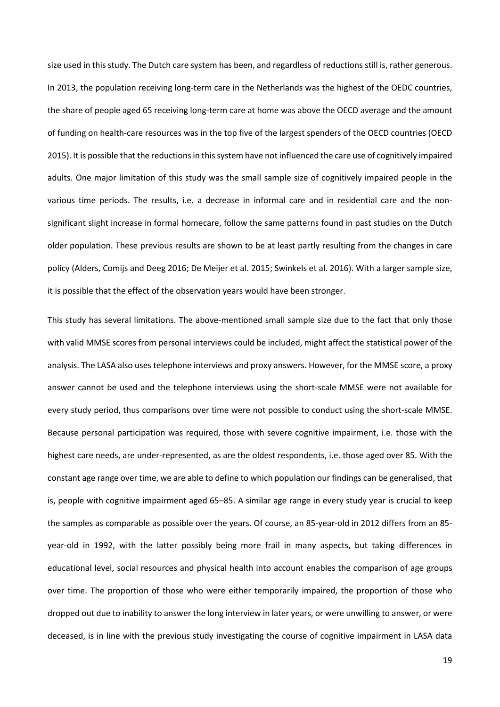size used in this study. The Dutch care system has been, and regardless of reductions still is, rather generous. In 2013, the population receiving long-term care in the Netherlands was the highest of the OEDC countries, the share of people aged 65 receiving long-term care at home was above the OECD average and the amount of funding on health-care resources was in the top five of the largest spenders of the OECD countries (OECD 2015). It is possible that the reductions in this system have not influenced the care use of cognitively impaired adults. One major limitation of this study was the small sample size of cognitively impaired people in the various time periods. The results, i.e. a decrease in informal care and in residential care and the nonsignificant slight increase in formal homecare, follow the same patterns found in past studies on the Dutch older population. These previous results are shown to be at least partly resulting from the changes in care policy (Alders, Comijs and Deeg 2016; De Meijer et al. 2015; Swinkels et al. 2016). With a larger sample size, it is possible that the effect of the observation years would have been stronger.

This study has several limitations. The above-mentioned small sample size due to the fact that only those with valid MMSE scores from personal interviews could be included, might affect the statistical power of the analysis. The LASA also uses telephone interviews and proxy answers. However, for the MMSE score, a proxy answer cannot be used and the telephone interviews using the short-scale MMSE were not available for every study period, thus comparisons over time were not possible to conduct using the short-scale MMSE. Because personal participation was required, those with severe cognitive impairment, i.e. those with the highest care needs, are under-represented, as are the oldest respondents, i.e. those aged over 85. With the constant age range over time, we are able to define to which population our findings can be generalised, that is, people with cognitive impairment aged 65–85. A similar age range in every study year is crucial to keep the samples as comparable as possible over the years. Of course, an 85-year-old in 2012 differs from an 85 year-old in 1992, with the latter possibly being more frail in many aspects, but taking differences in educational level, social resources and physical health into account enables the comparison of age groups over time. The proportion of those who were either temporarily impaired, the proportion of those who dropped out due to inability to answer the long interview in later years, or were unwilling to answer, or were deceased, is in line with the previous study investigating the course of cognitive impairment in LASA data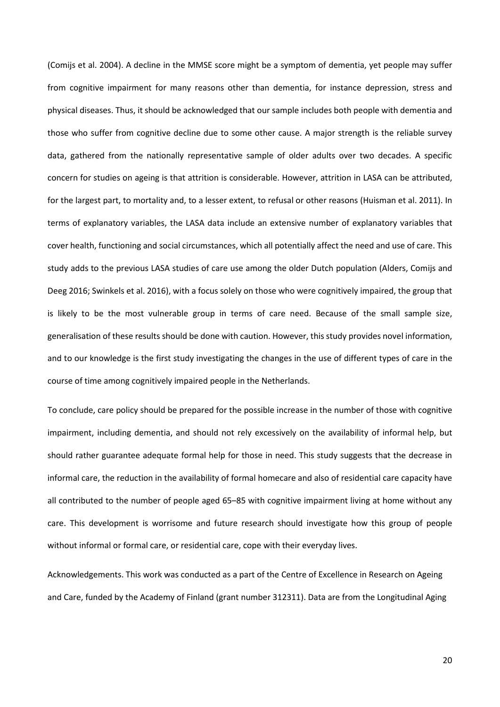(Comijs et al. 2004). A decline in the MMSE score might be a symptom of dementia, yet people may suffer from cognitive impairment for many reasons other than dementia, for instance depression, stress and physical diseases. Thus, it should be acknowledged that our sample includes both people with dementia and those who suffer from cognitive decline due to some other cause. A major strength is the reliable survey data, gathered from the nationally representative sample of older adults over two decades. A specific concern for studies on ageing is that attrition is considerable. However, attrition in LASA can be attributed, for the largest part, to mortality and, to a lesser extent, to refusal or other reasons (Huisman et al. 2011). In terms of explanatory variables, the LASA data include an extensive number of explanatory variables that cover health, functioning and social circumstances, which all potentially affect the need and use of care. This study adds to the previous LASA studies of care use among the older Dutch population (Alders, Comijs and Deeg 2016; Swinkels et al. 2016), with a focus solely on those who were cognitively impaired, the group that is likely to be the most vulnerable group in terms of care need. Because of the small sample size, generalisation of these results should be done with caution. However, this study provides novel information, and to our knowledge is the first study investigating the changes in the use of different types of care in the course of time among cognitively impaired people in the Netherlands.

To conclude, care policy should be prepared for the possible increase in the number of those with cognitive impairment, including dementia, and should not rely excessively on the availability of informal help, but should rather guarantee adequate formal help for those in need. This study suggests that the decrease in informal care, the reduction in the availability of formal homecare and also of residential care capacity have all contributed to the number of people aged 65–85 with cognitive impairment living at home without any care. This development is worrisome and future research should investigate how this group of people without informal or formal care, or residential care, cope with their everyday lives.

Acknowledgements. This work was conducted as a part of the Centre of Excellence in Research on Ageing and Care, funded by the Academy of Finland (grant number 312311). Data are from the Longitudinal Aging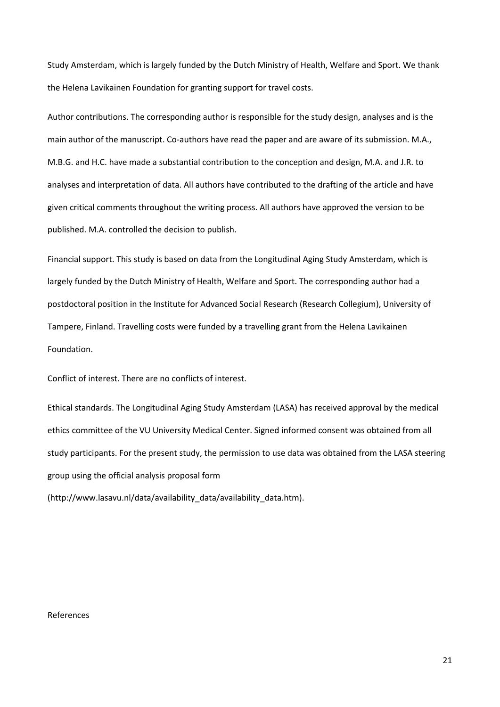Study Amsterdam, which is largely funded by the Dutch Ministry of Health, Welfare and Sport. We thank the Helena Lavikainen Foundation for granting support for travel costs.

Author contributions. The corresponding author is responsible for the study design, analyses and is the main author of the manuscript. Co-authors have read the paper and are aware of its submission. M.A., M.B.G. and H.C. have made a substantial contribution to the conception and design, M.A. and J.R. to analyses and interpretation of data. All authors have contributed to the drafting of the article and have given critical comments throughout the writing process. All authors have approved the version to be published. M.A. controlled the decision to publish.

Financial support. This study is based on data from the Longitudinal Aging Study Amsterdam, which is largely funded by the Dutch Ministry of Health, Welfare and Sport. The corresponding author had a postdoctoral position in the Institute for Advanced Social Research (Research Collegium), University of Tampere, Finland. Travelling costs were funded by a travelling grant from the Helena Lavikainen Foundation.

Conflict of interest. There are no conflicts of interest.

Ethical standards. The Longitudinal Aging Study Amsterdam (LASA) has received approval by the medical ethics committee of the VU University Medical Center. Signed informed consent was obtained from all study participants. For the present study, the permission to use data was obtained from the LASA steering group using the official analysis proposal form

(http://www.lasavu.nl/data/availability\_data/availability\_data.htm).

## References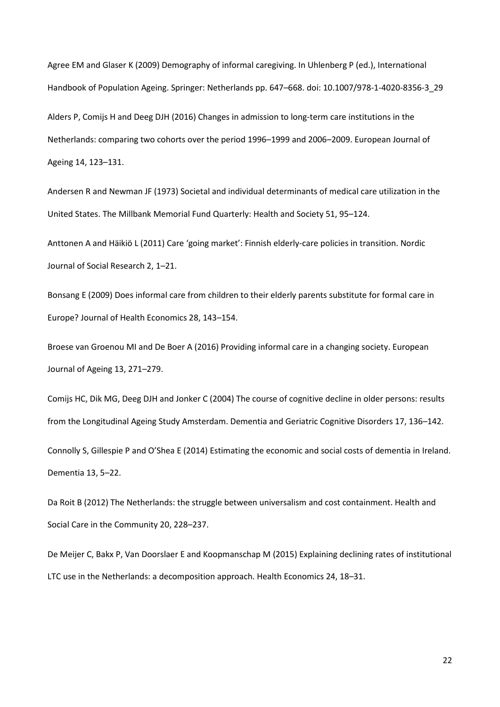Agree EM and Glaser K (2009) Demography of informal caregiving. In Uhlenberg P (ed.), International Handbook of Population Ageing. Springer: Netherlands pp. 647–668. doi: 10.1007/978-1-4020-8356-3\_29

Alders P, Comijs H and Deeg DJH (2016) Changes in admission to long-term care institutions in the Netherlands: comparing two cohorts over the period 1996–1999 and 2006–2009. European Journal of Ageing 14, 123–131.

Andersen R and Newman JF (1973) Societal and individual determinants of medical care utilization in the United States. The Millbank Memorial Fund Quarterly: Health and Society 51, 95–124.

Anttonen A and Häikiö L (2011) Care 'going market': Finnish elderly-care policies in transition. Nordic Journal of Social Research 2, 1–21.

Bonsang E (2009) Does informal care from children to their elderly parents substitute for formal care in Europe? Journal of Health Economics 28, 143–154.

Broese van Groenou MI and De Boer A (2016) Providing informal care in a changing society. European Journal of Ageing 13, 271–279.

Comijs HC, Dik MG, Deeg DJH and Jonker C (2004) The course of cognitive decline in older persons: results from the Longitudinal Ageing Study Amsterdam. Dementia and Geriatric Cognitive Disorders 17, 136–142. Connolly S, Gillespie P and O'Shea E (2014) Estimating the economic and social costs of dementia in Ireland. Dementia 13, 5–22.

Da Roit B (2012) The Netherlands: the struggle between universalism and cost containment. Health and Social Care in the Community 20, 228–237.

De Meijer C, Bakx P, Van Doorslaer E and Koopmanschap M (2015) Explaining declining rates of institutional LTC use in the Netherlands: a decomposition approach. Health Economics 24, 18–31.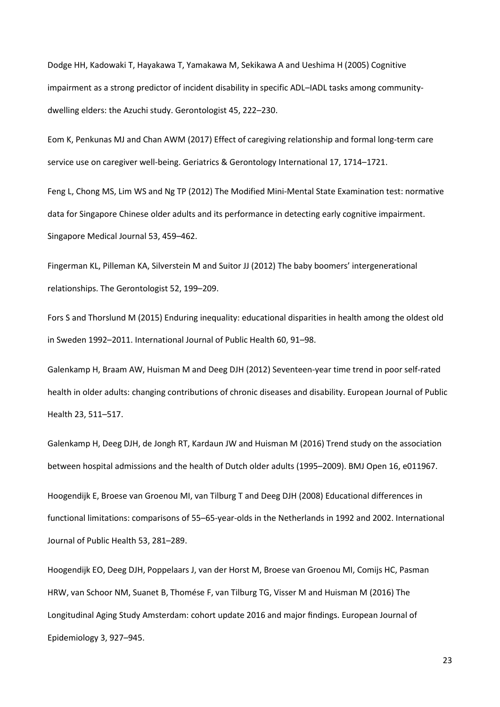Dodge HH, Kadowaki T, Hayakawa T, Yamakawa M, Sekikawa A and Ueshima H (2005) Cognitive impairment as a strong predictor of incident disability in specific ADL–IADL tasks among communitydwelling elders: the Azuchi study. Gerontologist 45, 222–230.

Eom K, Penkunas MJ and Chan AWM (2017) Effect of caregiving relationship and formal long-term care service use on caregiver well-being. Geriatrics & Gerontology International 17, 1714–1721.

Feng L, Chong MS, Lim WS and Ng TP (2012) The Modified Mini-Mental State Examination test: normative data for Singapore Chinese older adults and its performance in detecting early cognitive impairment. Singapore Medical Journal 53, 459–462.

Fingerman KL, Pilleman KA, Silverstein M and Suitor JJ (2012) The baby boomers' intergenerational relationships. The Gerontologist 52, 199–209.

Fors S and Thorslund M (2015) Enduring inequality: educational disparities in health among the oldest old in Sweden 1992–2011. International Journal of Public Health 60, 91–98.

Galenkamp H, Braam AW, Huisman M and Deeg DJH (2012) Seventeen-year time trend in poor self-rated health in older adults: changing contributions of chronic diseases and disability. European Journal of Public Health 23, 511–517.

Galenkamp H, Deeg DJH, de Jongh RT, Kardaun JW and Huisman M (2016) Trend study on the association between hospital admissions and the health of Dutch older adults (1995–2009). BMJ Open 16, e011967.

Hoogendijk E, Broese van Groenou MI, van Tilburg T and Deeg DJH (2008) Educational differences in functional limitations: comparisons of 55–65-year-olds in the Netherlands in 1992 and 2002. International Journal of Public Health 53, 281–289.

Hoogendijk EO, Deeg DJH, Poppelaars J, van der Horst M, Broese van Groenou MI, Comijs HC, Pasman HRW, van Schoor NM, Suanet B, Thomése F, van Tilburg TG, Visser M and Huisman M (2016) The Longitudinal Aging Study Amsterdam: cohort update 2016 and major findings. European Journal of Epidemiology 3, 927–945.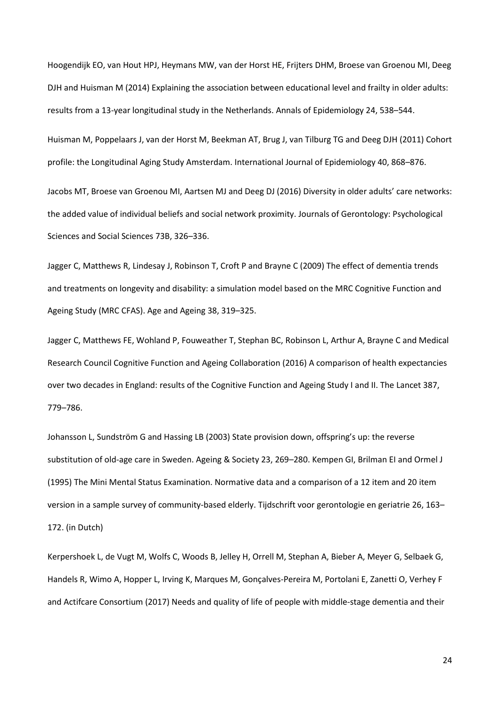Hoogendijk EO, van Hout HPJ, Heymans MW, van der Horst HE, Frijters DHM, Broese van Groenou MI, Deeg DJH and Huisman M (2014) Explaining the association between educational level and frailty in older adults: results from a 13-year longitudinal study in the Netherlands. Annals of Epidemiology 24, 538–544.

Huisman M, Poppelaars J, van der Horst M, Beekman AT, Brug J, van Tilburg TG and Deeg DJH (2011) Cohort profile: the Longitudinal Aging Study Amsterdam. International Journal of Epidemiology 40, 868–876.

Jacobs MT, Broese van Groenou MI, Aartsen MJ and Deeg DJ (2016) Diversity in older adults' care networks: the added value of individual beliefs and social network proximity. Journals of Gerontology: Psychological Sciences and Social Sciences 73B, 326–336.

Jagger C, Matthews R, Lindesay J, Robinson T, Croft P and Brayne C (2009) The effect of dementia trends and treatments on longevity and disability: a simulation model based on the MRC Cognitive Function and Ageing Study (MRC CFAS). Age and Ageing 38, 319–325.

Jagger C, Matthews FE, Wohland P, Fouweather T, Stephan BC, Robinson L, Arthur A, Brayne C and Medical Research Council Cognitive Function and Ageing Collaboration (2016) A comparison of health expectancies over two decades in England: results of the Cognitive Function and Ageing Study I and II. The Lancet 387, 779–786.

Johansson L, Sundström G and Hassing LB (2003) State provision down, offspring's up: the reverse substitution of old-age care in Sweden. Ageing & Society 23, 269–280. Kempen GI, Brilman EI and Ormel J (1995) The Mini Mental Status Examination. Normative data and a comparison of a 12 item and 20 item version in a sample survey of community-based elderly. Tijdschrift voor gerontologie en geriatrie 26, 163– 172. (in Dutch)

Kerpershoek L, de Vugt M, Wolfs C, Woods B, Jelley H, Orrell M, Stephan A, Bieber A, Meyer G, Selbaek G, Handels R, Wimo A, Hopper L, Irving K, Marques M, Gonçalves-Pereira M, Portolani E, Zanetti O, Verhey F and Actifcare Consortium (2017) Needs and quality of life of people with middle-stage dementia and their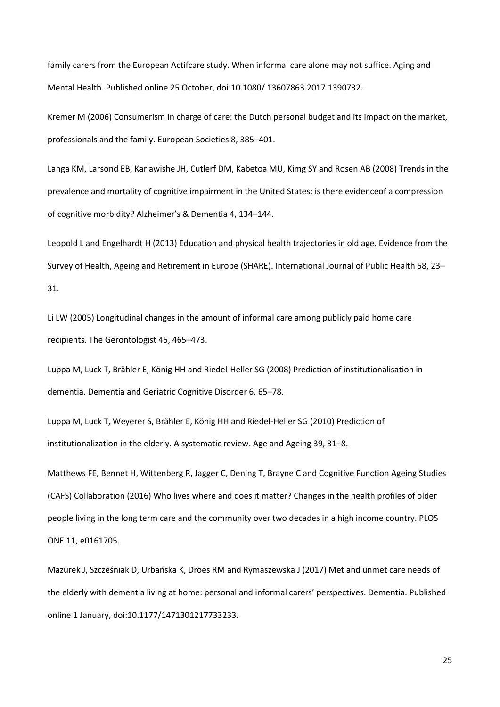family carers from the European Actifcare study. When informal care alone may not suffice. Aging and Mental Health. Published online 25 October, doi:10.1080/ 13607863.2017.1390732.

Kremer M (2006) Consumerism in charge of care: the Dutch personal budget and its impact on the market, professionals and the family. European Societies 8, 385–401.

Langa KM, Larsond EB, Karlawishe JH, Cutlerf DM, Kabetoa MU, Kimg SY and Rosen AB (2008) Trends in the prevalence and mortality of cognitive impairment in the United States: is there evidenceof a compression of cognitive morbidity? Alzheimer's & Dementia 4, 134–144.

Leopold L and Engelhardt H (2013) Education and physical health trajectories in old age. Evidence from the Survey of Health, Ageing and Retirement in Europe (SHARE). International Journal of Public Health 58, 23– 31.

Li LW (2005) Longitudinal changes in the amount of informal care among publicly paid home care recipients. The Gerontologist 45, 465–473.

Luppa M, Luck T, Brähler E, König HH and Riedel-Heller SG (2008) Prediction of institutionalisation in dementia. Dementia and Geriatric Cognitive Disorder 6, 65–78.

Luppa M, Luck T, Weyerer S, Brähler E, König HH and Riedel-Heller SG (2010) Prediction of institutionalization in the elderly. A systematic review. Age and Ageing 39, 31–8.

Matthews FE, Bennet H, Wittenberg R, Jagger C, Dening T, Brayne C and Cognitive Function Ageing Studies (CAFS) Collaboration (2016) Who lives where and does it matter? Changes in the health profiles of older people living in the long term care and the community over two decades in a high income country. PLOS ONE 11, e0161705.

Mazurek J, Szcześniak D, Urbańska K, Dröes RM and Rymaszewska J (2017) Met and unmet care needs of the elderly with dementia living at home: personal and informal carers' perspectives. Dementia. Published online 1 January, doi:10.1177/1471301217733233.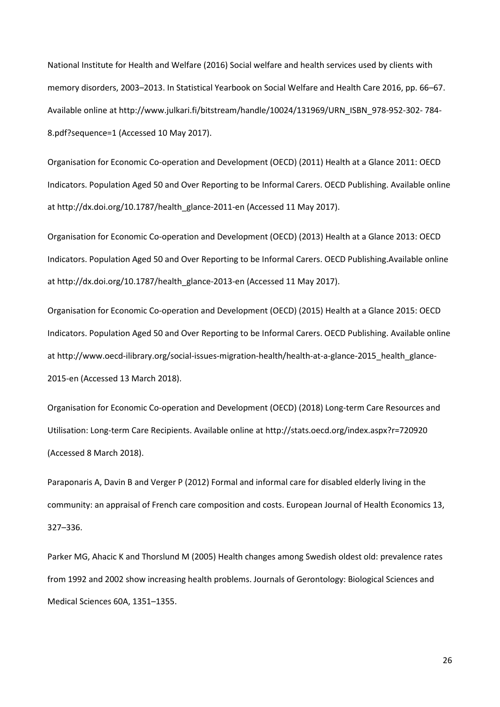National Institute for Health and Welfare (2016) Social welfare and health services used by clients with memory disorders, 2003–2013. In Statistical Yearbook on Social Welfare and Health Care 2016, pp. 66–67. Available online at http://www.julkari.fi/bitstream/handle/10024/131969/URN\_ISBN\_978-952-302- 784- 8.pdf?sequence=1 (Accessed 10 May 2017).

Organisation for Economic Co-operation and Development (OECD) (2011) Health at a Glance 2011: OECD Indicators. Population Aged 50 and Over Reporting to be Informal Carers. OECD Publishing. Available online at http://dx.doi.org/10.1787/health\_glance-2011-en (Accessed 11 May 2017).

Organisation for Economic Co-operation and Development (OECD) (2013) Health at a Glance 2013: OECD Indicators. Population Aged 50 and Over Reporting to be Informal Carers. OECD Publishing.Available online at http://dx.doi.org/10.1787/health\_glance-2013-en (Accessed 11 May 2017).

Organisation for Economic Co-operation and Development (OECD) (2015) Health at a Glance 2015: OECD Indicators. Population Aged 50 and Over Reporting to be Informal Carers. OECD Publishing. Available online at http://www.oecd-ilibrary.org/social-issues-migration-health/health-at-a-glance-2015\_health\_glance-2015-en (Accessed 13 March 2018).

Organisation for Economic Co-operation and Development (OECD) (2018) Long-term Care Resources and Utilisation: Long-term Care Recipients. Available online at http://stats.oecd.org/index.aspx?r=720920 (Accessed 8 March 2018).

Paraponaris A, Davin B and Verger P (2012) Formal and informal care for disabled elderly living in the community: an appraisal of French care composition and costs. European Journal of Health Economics 13, 327–336.

Parker MG, Ahacic K and Thorslund M (2005) Health changes among Swedish oldest old: prevalence rates from 1992 and 2002 show increasing health problems. Journals of Gerontology: Biological Sciences and Medical Sciences 60A, 1351–1355.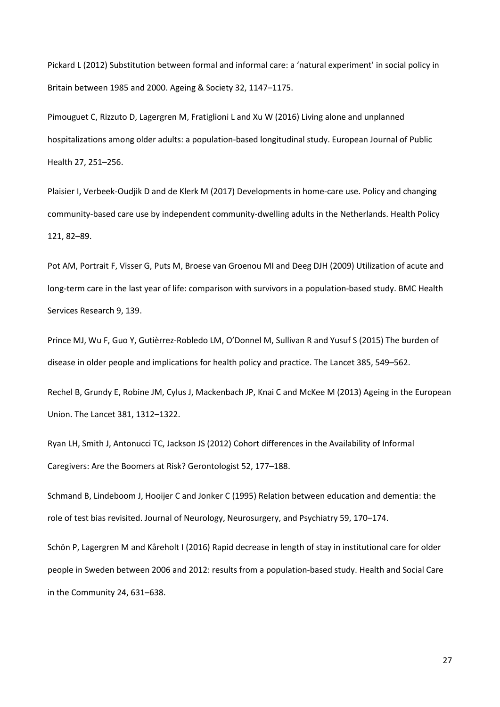Pickard L (2012) Substitution between formal and informal care: a 'natural experiment' in social policy in Britain between 1985 and 2000. Ageing & Society 32, 1147–1175.

Pimouguet C, Rizzuto D, Lagergren M, Fratiglioni L and Xu W (2016) Living alone and unplanned hospitalizations among older adults: a population-based longitudinal study. European Journal of Public Health 27, 251–256.

Plaisier I, Verbeek-Oudjik D and de Klerk M (2017) Developments in home-care use. Policy and changing community-based care use by independent community-dwelling adults in the Netherlands. Health Policy 121, 82–89.

Pot AM, Portrait F, Visser G, Puts M, Broese van Groenou MI and Deeg DJH (2009) Utilization of acute and long-term care in the last year of life: comparison with survivors in a population-based study. BMC Health Services Research 9, 139.

Prince MJ, Wu F, Guo Y, Gutièrrez-Robledo LM, O'Donnel M, Sullivan R and Yusuf S (2015) The burden of disease in older people and implications for health policy and practice. The Lancet 385, 549–562.

Rechel B, Grundy E, Robine JM, Cylus J, Mackenbach JP, Knai C and McKee M (2013) Ageing in the European Union. The Lancet 381, 1312–1322.

Ryan LH, Smith J, Antonucci TC, Jackson JS (2012) Cohort differences in the Availability of Informal Caregivers: Are the Boomers at Risk? Gerontologist 52, 177–188.

Schmand B, Lindeboom J, Hooijer C and Jonker C (1995) Relation between education and dementia: the role of test bias revisited. Journal of Neurology, Neurosurgery, and Psychiatry 59, 170–174.

Schön P, Lagergren M and Kåreholt I (2016) Rapid decrease in length of stay in institutional care for older people in Sweden between 2006 and 2012: results from a population-based study. Health and Social Care in the Community 24, 631–638.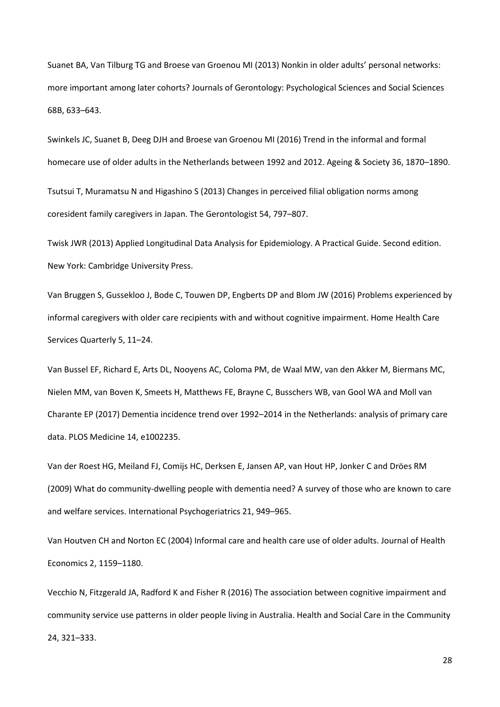Suanet BA, Van Tilburg TG and Broese van Groenou MI (2013) Nonkin in older adults' personal networks: more important among later cohorts? Journals of Gerontology: Psychological Sciences and Social Sciences 68B, 633–643.

Swinkels JC, Suanet B, Deeg DJH and Broese van Groenou MI (2016) Trend in the informal and formal homecare use of older adults in the Netherlands between 1992 and 2012. Ageing & Society 36, 1870–1890.

Tsutsui T, Muramatsu N and Higashino S (2013) Changes in perceived filial obligation norms among coresident family caregivers in Japan. The Gerontologist 54, 797–807.

Twisk JWR (2013) Applied Longitudinal Data Analysis for Epidemiology. A Practical Guide. Second edition. New York: Cambridge University Press.

Van Bruggen S, Gussekloo J, Bode C, Touwen DP, Engberts DP and Blom JW (2016) Problems experienced by informal caregivers with older care recipients with and without cognitive impairment. Home Health Care Services Quarterly 5, 11–24.

Van Bussel EF, Richard E, Arts DL, Nooyens AC, Coloma PM, de Waal MW, van den Akker M, Biermans MC, Nielen MM, van Boven K, Smeets H, Matthews FE, Brayne C, Busschers WB, van Gool WA and Moll van Charante EP (2017) Dementia incidence trend over 1992–2014 in the Netherlands: analysis of primary care data. PLOS Medicine 14, e1002235.

Van der Roest HG, Meiland FJ, Comijs HC, Derksen E, Jansen AP, van Hout HP, Jonker C and Dröes RM (2009) What do community-dwelling people with dementia need? A survey of those who are known to care and welfare services. International Psychogeriatrics 21, 949–965.

Van Houtven CH and Norton EC (2004) Informal care and health care use of older adults. Journal of Health Economics 2, 1159–1180.

Vecchio N, Fitzgerald JA, Radford K and Fisher R (2016) The association between cognitive impairment and community service use patterns in older people living in Australia. Health and Social Care in the Community 24, 321–333.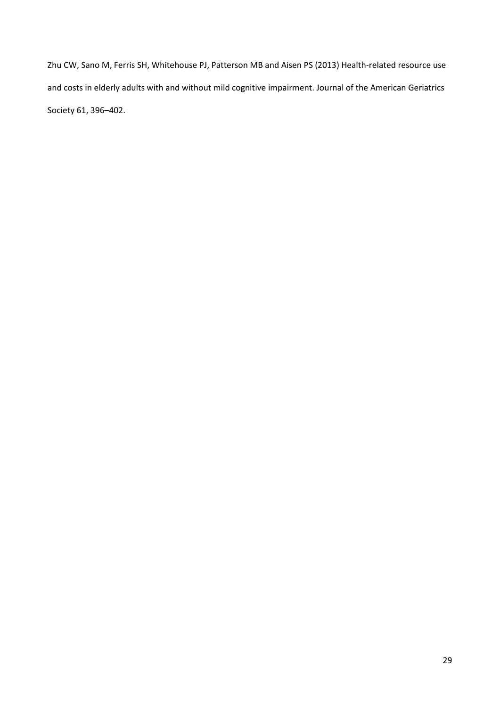Zhu CW, Sano M, Ferris SH, Whitehouse PJ, Patterson MB and Aisen PS (2013) Health-related resource use and costs in elderly adults with and without mild cognitive impairment. Journal of the American Geriatrics Society 61, 396–402.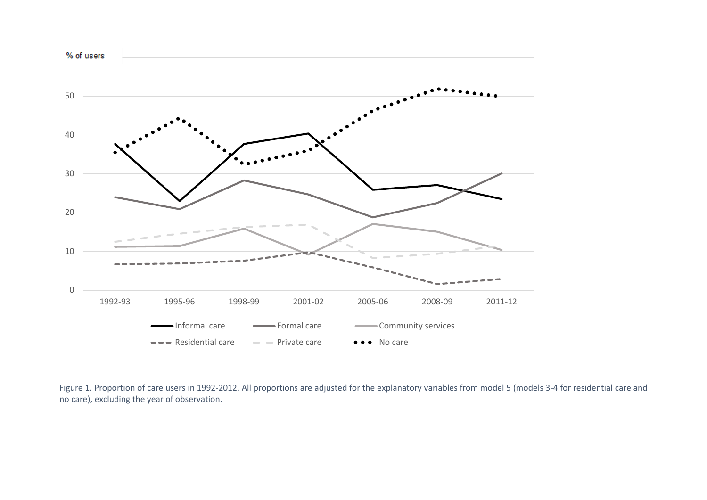

Figure 1. Proportion of care users in 1992-2012. All proportions are adjusted for the explanatory variables from model 5 (models 3-4 for residential care and no care), excluding the year of observation.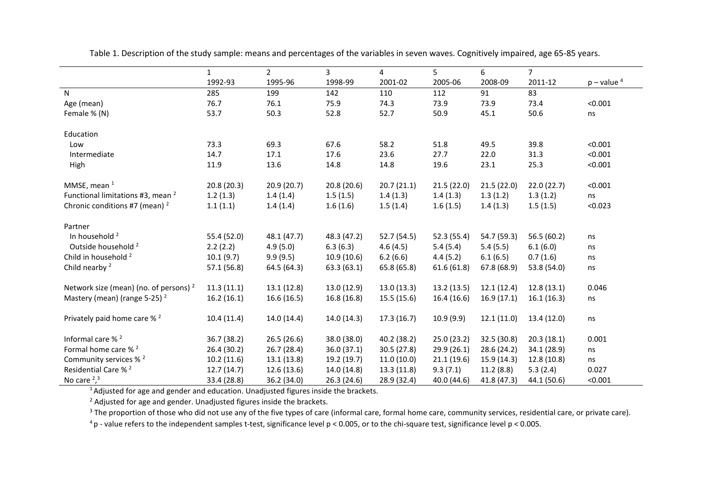|                                                   | $\mathbf{1}$ | $\overline{2}$ | 3           | $\overline{4}$ | 5           | 6           | $\overline{7}$ |                 |
|---------------------------------------------------|--------------|----------------|-------------|----------------|-------------|-------------|----------------|-----------------|
|                                                   | 1992-93      | 1995-96        | 1998-99     | 2001-02        | 2005-06     | 2008-09     | 2011-12        | $p$ – value $4$ |
| N                                                 | 285          | 199            | 142         | 110            | 112         | 91          | 83             |                 |
| Age (mean)                                        | 76.7         | 76.1           | 75.9        | 74.3           | 73.9        | 73.9        | 73.4           | < 0.001         |
| Female % (N)                                      | 53.7         | 50.3           | 52.8        | 52.7           | 50.9        | 45.1        | 50.6           | ns              |
| Education                                         |              |                |             |                |             |             |                |                 |
| Low                                               | 73.3         | 69.3           | 67.6        | 58.2           | 51.8        | 49.5        | 39.8           | < 0.001         |
| Intermediate                                      | 14.7         | 17.1           | 17.6        | 23.6           | 27.7        | 22.0        | 31.3           | < 0.001         |
| High                                              | 11.9         | 13.6           | 14.8        | 14.8           | 19.6        | 23.1        | 25.3           | < 0.001         |
| MMSE, mean $1$                                    | 20.8(20.3)   | 20.9(20.7)     | 20.8(20.6)  | 20.7(21.1)     | 21.5(22.0)  | 21.5(22.0)  | 22.0(22.7)     | < 0.001         |
| Functional limitations #3, mean <sup>2</sup>      | 1.2(1.3)     | 1.4(1.4)       | 1.5(1.5)    | 1.4(1.3)       | 1.4(1.3)    | 1.3(1.2)    | 1.3(1.2)       | ns              |
| Chronic conditions #7 (mean) $2$                  | 1.1(1.1)     | 1.4(1.4)       | 1.6(1.6)    | 1.5(1.4)       | 1.6(1.5)    | 1.4(1.3)    | 1.5(1.5)       | < 0.023         |
| Partner                                           |              |                |             |                |             |             |                |                 |
| In household <sup>2</sup>                         | 55.4 (52.0)  | 48.1(47.7)     | 48.3 (47.2) | 52.7(54.5)     | 52.3 (55.4) | 54.7 (59.3) | 56.5 (60.2)    | ns              |
| Outside household <sup>2</sup>                    | 2.2(2.2)     | 4.9(5.0)       | 6.3(6.3)    | 4.6(4.5)       | 5.4(5.4)    | 5.4(5.5)    | 6.1(6.0)       | ns              |
| Child in household <sup>2</sup>                   | 10.1(9.7)    | 9.9(9.5)       | 10.9(10.6)  | 6.2(6.6)       | 4.4(5.2)    | 6.1(6.5)    | 0.7(1.6)       | ns              |
| Child nearby <sup>2</sup>                         | 57.1 (56.8)  | 64.5 (64.3)    | 63.3(63.1)  | 65.8 (65.8)    | 61.6(61.8)  | 67.8 (68.9) | 53.8 (54.0)    | ns              |
|                                                   |              |                |             |                |             |             |                |                 |
| Network size (mean) (no. of persons) <sup>2</sup> | 11.3(11.1)   | 13.1(12.8)     | 13.0 (12.9) | 13.0(13.3)     | 13.2(13.5)  | 12.1(12.4)  | 12.8(13.1)     | 0.046           |
| Mastery (mean) (range 5-25) $2$                   | 16.2(16.1)   | 16.6(16.5)     | 16.8(16.8)  | 15.5(15.6)     | 16.4(16.6)  | 16.9(17.1)  | 16.1(16.3)     | ns              |
| Privately paid home care % <sup>2</sup>           | 10.4(11.4)   | 14.0 (14.4)    | 14.0(14.3)  | 17.3(16.7)     | 10.9(9.9)   | 12.1(11.0)  | 13.4 (12.0)    | ns              |
| Informal care % <sup>2</sup>                      | 36.7 (38.2)  | 26.5(26.6)     | 38.0 (38.0) | 40.2(38.2)     | 25.0(23.2)  | 32.5 (30.8) | 20.3(18.1)     | 0.001           |
| Formal home care % <sup>2</sup>                   | 26.4 (30.2)  | 26.7 (28.4)    | 36.0 (37.1) | 30.5(27.8)     | 29.9 (26.1) | 28.6 (24.2) | 34.1 (28.9)    | ns              |
| Community services % <sup>2</sup>                 | 10.2(11.6)   | 13.1(13.8)     | 19.2 (19.7) | 11.0(10.0)     | 21.1(19.6)  | 15.9 (14.3) | 12.8 (10.8)    | ns              |
| Residential Care % <sup>2</sup>                   | 12.7(14.7)   | 12.6 (13.6)    | 14.0 (14.8) | 13.3(11.8)     | 9.3(7.1)    | 11.2(8.8)   | 5.3(2.4)       | 0.027           |
| No care $2,3$                                     | 33.4 (28.8)  | 36.2 (34.0)    | 26.3(24.6)  | 28.9 (32.4)    | 40.0 (44.6) | 41.8 (47.3) | 44.1 (50.6)    | < 0.001         |

Table 1. Description of the study sample: means and percentages of the variables in seven waves. Cognitively impaired, age 65-85 years.

 $1$ Adjusted for age and gender and education. Unadjusted figures inside the brackets.

 $2$  Adjusted for age and gender. Unadjusted figures inside the brackets.

<sup>3</sup> The proportion of those who did not use any of the five types of care (informal care, formal home care, community services, residential care, or private care).

 $4 p$  - value refers to the independent samples t-test, significance level  $p < 0.005$ , or to the chi-square test, significance level  $p < 0.005$ .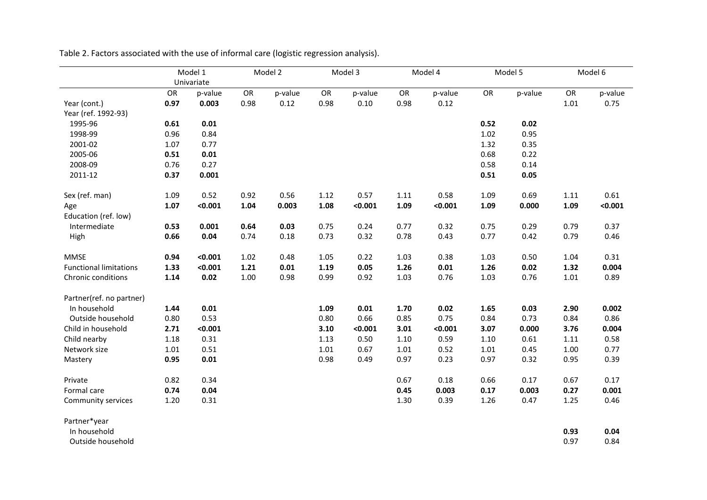|                               |      | Model 1               |      | Model 2 |      | Model 3  | Model 4 |         | Model 5 |         |      | Model 6 |  |
|-------------------------------|------|-----------------------|------|---------|------|----------|---------|---------|---------|---------|------|---------|--|
|                               | OR   | Univariate<br>p-value | OR   | p-value | OR   | p-value  | OR      | p-value | OR      | p-value | OR   | p-value |  |
| Year (cont.)                  | 0.97 | 0.003                 | 0.98 | 0.12    | 0.98 | $0.10\,$ | 0.98    | 0.12    |         |         | 1.01 | 0.75    |  |
| Year (ref. 1992-93)           |      |                       |      |         |      |          |         |         |         |         |      |         |  |
| 1995-96                       | 0.61 | 0.01                  |      |         |      |          |         |         | 0.52    | 0.02    |      |         |  |
| 1998-99                       | 0.96 | 0.84                  |      |         |      |          |         |         | 1.02    | 0.95    |      |         |  |
| 2001-02                       | 1.07 | 0.77                  |      |         |      |          |         |         | 1.32    | 0.35    |      |         |  |
| 2005-06                       | 0.51 | 0.01                  |      |         |      |          |         |         | 0.68    | 0.22    |      |         |  |
| 2008-09                       | 0.76 | 0.27                  |      |         |      |          |         |         | 0.58    | 0.14    |      |         |  |
| 2011-12                       | 0.37 | 0.001                 |      |         |      |          |         |         | 0.51    | 0.05    |      |         |  |
| Sex (ref. man)                | 1.09 | 0.52                  | 0.92 | 0.56    | 1.12 | 0.57     | 1.11    | 0.58    | 1.09    | 0.69    | 1.11 | 0.61    |  |
| Age                           | 1.07 | < 0.001               | 1.04 | 0.003   | 1.08 | < 0.001  | 1.09    | < 0.001 | 1.09    | 0.000   | 1.09 | < 0.001 |  |
| Education (ref. low)          |      |                       |      |         |      |          |         |         |         |         |      |         |  |
| Intermediate                  | 0.53 | 0.001                 | 0.64 | 0.03    | 0.75 | 0.24     | 0.77    | 0.32    | 0.75    | 0.29    | 0.79 | 0.37    |  |
| High                          | 0.66 | 0.04                  | 0.74 | 0.18    | 0.73 | 0.32     | 0.78    | 0.43    | 0.77    | 0.42    | 0.79 | 0.46    |  |
| <b>MMSE</b>                   | 0.94 | < 0.001               | 1.02 | 0.48    | 1.05 | 0.22     | 1.03    | 0.38    | 1.03    | 0.50    | 1.04 | 0.31    |  |
| <b>Functional limitations</b> | 1.33 | < 0.001               | 1.21 | 0.01    | 1.19 | 0.05     | 1.26    | 0.01    | 1.26    | 0.02    | 1.32 | 0.004   |  |
| Chronic conditions            | 1.14 | 0.02                  | 1.00 | 0.98    | 0.99 | 0.92     | 1.03    | 0.76    | 1.03    | 0.76    | 1.01 | 0.89    |  |
| Partner(ref. no partner)      |      |                       |      |         |      |          |         |         |         |         |      |         |  |
| In household                  | 1.44 | 0.01                  |      |         | 1.09 | 0.01     | 1.70    | 0.02    | 1.65    | 0.03    | 2.90 | 0.002   |  |
| Outside household             | 0.80 | 0.53                  |      |         | 0.80 | 0.66     | 0.85    | 0.75    | 0.84    | 0.73    | 0.84 | 0.86    |  |
| Child in household            | 2.71 | < 0.001               |      |         | 3.10 | < 0.001  | 3.01    | < 0.001 | 3.07    | 0.000   | 3.76 | 0.004   |  |
| Child nearby                  | 1.18 | 0.31                  |      |         | 1.13 | 0.50     | 1.10    | 0.59    | 1.10    | 0.61    | 1.11 | 0.58    |  |
| Network size                  | 1.01 | 0.51                  |      |         | 1.01 | 0.67     | 1.01    | 0.52    | 1.01    | 0.45    | 1.00 | 0.77    |  |
| Mastery                       | 0.95 | 0.01                  |      |         | 0.98 | 0.49     | 0.97    | 0.23    | 0.97    | 0.32    | 0.95 | 0.39    |  |
| Private                       | 0.82 | 0.34                  |      |         |      |          | 0.67    | 0.18    | 0.66    | 0.17    | 0.67 | 0.17    |  |
| Formal care                   | 0.74 | 0.04                  |      |         |      |          | 0.45    | 0.003   | 0.17    | 0.003   | 0.27 | 0.001   |  |
| Community services            | 1.20 | 0.31                  |      |         |      |          | 1.30    | 0.39    | 1.26    | 0.47    | 1.25 | 0.46    |  |
| Partner*year                  |      |                       |      |         |      |          |         |         |         |         |      |         |  |
| In household                  |      |                       |      |         |      |          |         |         |         |         | 0.93 | 0.04    |  |
| Outside household             |      |                       |      |         |      |          |         |         |         |         | 0.97 | 0.84    |  |

Table 2. Factors associated with the use of informal care (logistic regression analysis).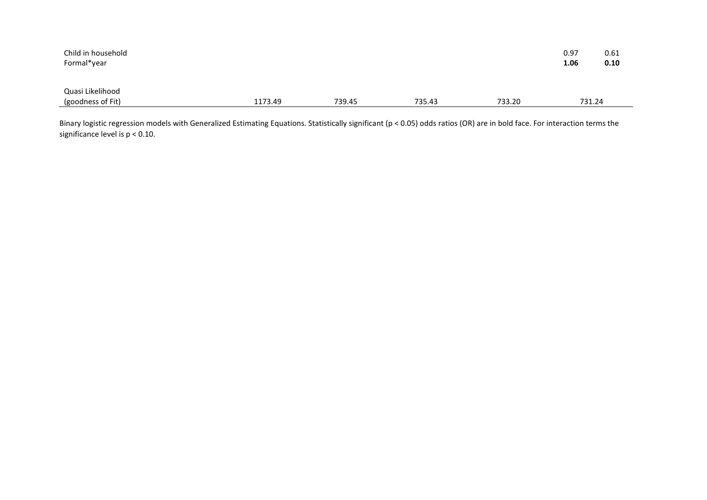| Child in household<br>Formal*year     |         |        |        |        | 0.97<br>1.06 | 0.61<br>0.10 |
|---------------------------------------|---------|--------|--------|--------|--------------|--------------|
| Quasi Likelihood<br>(goodness of Fit) | 1173.49 | 739.45 | 735.43 | 733.20 | 731.24       |              |

Binary logistic regression models with Generalized Estimating Equations. Statistically significant (p < 0.05) odds ratios (OR) are in bold face. For interaction terms the significance level is p < 0.10.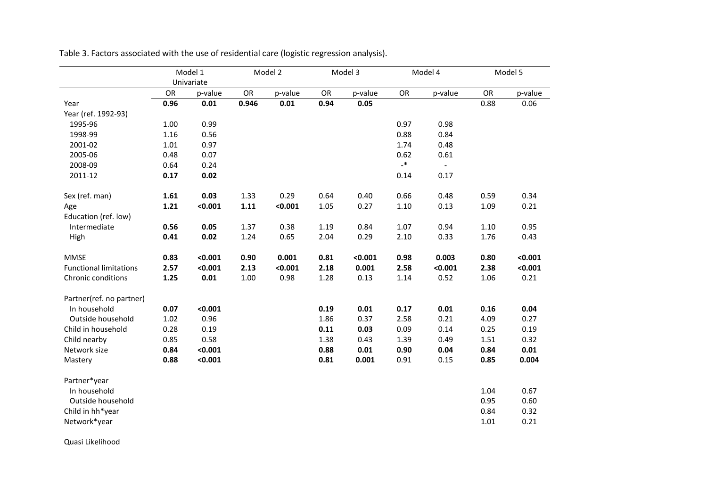|                               |          |                     | Model 1<br>Model 2<br>Univariate |         |      | Model 3 |                  | Model 4 | Model 5  |         |  |
|-------------------------------|----------|---------------------|----------------------------------|---------|------|---------|------------------|---------|----------|---------|--|
|                               |          | OR<br>OR<br>p-value |                                  | p-value | OR   | p-value | OR               | p-value | OR       | p-value |  |
| Year                          | 0.96     | 0.01                | 0.946                            | 0.01    | 0.94 | 0.05    |                  |         | 0.88     | 0.06    |  |
| Year (ref. 1992-93)           |          |                     |                                  |         |      |         |                  |         |          |         |  |
| 1995-96                       | 1.00     | 0.99                |                                  |         |      |         | 0.97             | 0.98    |          |         |  |
| 1998-99                       | 1.16     | 0.56                |                                  |         |      |         | 0.88             | 0.84    |          |         |  |
| 2001-02                       | $1.01\,$ | 0.97                |                                  |         |      |         | 1.74             | 0.48    |          |         |  |
| 2005-06                       | 0.48     | 0.07                |                                  |         |      |         | 0.62             | 0.61    |          |         |  |
| 2008-09                       | 0.64     | 0.24                |                                  |         |      |         | $\mathbf{R}_{-}$ | $\sim$  |          |         |  |
| 2011-12                       | 0.17     | 0.02                |                                  |         |      |         | 0.14             | 0.17    |          |         |  |
|                               |          |                     |                                  |         |      |         |                  |         |          |         |  |
| Sex (ref. man)                | 1.61     | 0.03                | 1.33                             | 0.29    | 0.64 | 0.40    | 0.66             | 0.48    | 0.59     | 0.34    |  |
| Age                           | 1.21     | < 0.001             | 1.11                             | < 0.001 | 1.05 | 0.27    | $1.10\,$         | 0.13    | 1.09     | 0.21    |  |
| Education (ref. low)          |          |                     |                                  |         |      |         |                  |         |          |         |  |
| Intermediate                  | 0.56     | 0.05                | 1.37                             | 0.38    | 1.19 | 0.84    | 1.07             | 0.94    | $1.10\,$ | 0.95    |  |
| High                          | 0.41     | 0.02                | 1.24                             | 0.65    | 2.04 | 0.29    | 2.10             | 0.33    | 1.76     | 0.43    |  |
|                               |          |                     |                                  |         |      |         |                  |         |          |         |  |
| <b>MMSE</b>                   | 0.83     | < 0.001             | 0.90                             | 0.001   | 0.81 | < 0.001 | 0.98             | 0.003   | 0.80     | < 0.001 |  |
| <b>Functional limitations</b> | 2.57     | < 0.001             | 2.13                             | < 0.001 | 2.18 | 0.001   | 2.58             | < 0.001 | 2.38     | < 0.001 |  |
| Chronic conditions            | 1.25     | 0.01                | 1.00                             | 0.98    | 1.28 | 0.13    | 1.14             | 0.52    | 1.06     | 0.21    |  |
|                               |          |                     |                                  |         |      |         |                  |         |          |         |  |
| Partner(ref. no partner)      |          |                     |                                  |         |      |         |                  |         |          |         |  |
| In household                  | 0.07     | < 0.001             |                                  |         | 0.19 | 0.01    | 0.17             | 0.01    | 0.16     | 0.04    |  |
| Outside household             | 1.02     | 0.96                |                                  |         | 1.86 | 0.37    | 2.58             | 0.21    | 4.09     | 0.27    |  |
| Child in household            | 0.28     | 0.19                |                                  |         | 0.11 | 0.03    | 0.09             | 0.14    | 0.25     | 0.19    |  |
| Child nearby                  | 0.85     | 0.58                |                                  |         | 1.38 | 0.43    | 1.39             | 0.49    | $1.51\,$ | 0.32    |  |
| Network size                  | 0.84     | < 0.001             |                                  |         | 0.88 | 0.01    | 0.90             | 0.04    | 0.84     | 0.01    |  |
| Mastery                       | 0.88     | < 0.001             |                                  |         | 0.81 | 0.001   | 0.91             | 0.15    | 0.85     | 0.004   |  |
| Partner*year                  |          |                     |                                  |         |      |         |                  |         |          |         |  |
| In household                  |          |                     |                                  |         |      |         |                  |         | 1.04     | 0.67    |  |
| Outside household             |          |                     |                                  |         |      |         |                  |         | 0.95     | 0.60    |  |
| Child in hh*year              |          |                     |                                  |         |      |         |                  |         | 0.84     | 0.32    |  |
| Network*year                  |          |                     |                                  |         |      |         |                  |         | $1.01\,$ | 0.21    |  |
|                               |          |                     |                                  |         |      |         |                  |         |          |         |  |
| Quasi Likelihood              |          |                     |                                  |         |      |         |                  |         |          |         |  |

Table 3. Factors associated with the use of residential care (logistic regression analysis).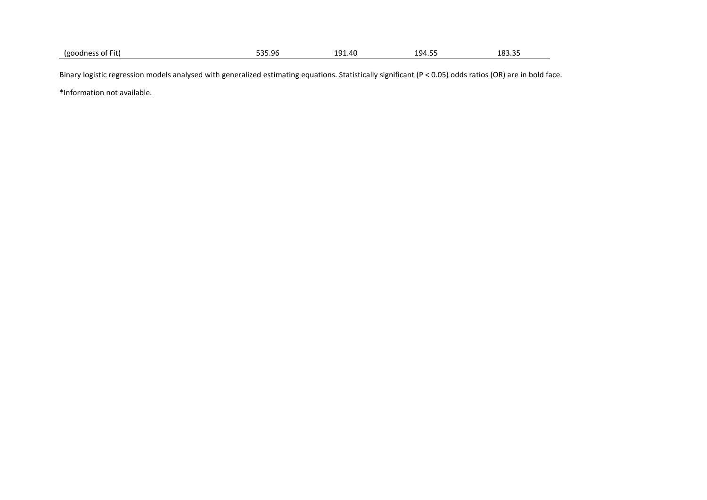|  | $- \cdot$ .<br>'goodne.<br>0.000<br>of Fit.<br>∵ OT<br>$1 \cup 2 \cup 3$<br>$\sim$ | $-0 - 0$<br>535.96 | ۵1 ا<br>- -<br>л (<br><del>.</del> v<br><u>. .</u> . | --<br>94 ا<br>ᆞᅮ. ㄱ -<br>◡ | $\cdots$<br>ب ∡י<br>10J.J. |
|--|------------------------------------------------------------------------------------|--------------------|------------------------------------------------------|----------------------------|----------------------------|
|--|------------------------------------------------------------------------------------|--------------------|------------------------------------------------------|----------------------------|----------------------------|

Binary logistic regression models analysed with generalized estimating equations. Statistically significant (P < 0.05) odds ratios (OR) are in bold face.

\*Information not available.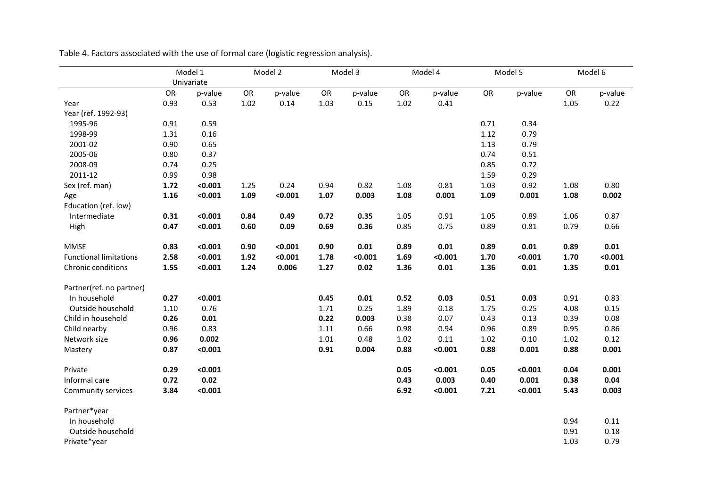|                               |      | Model 1    |      | Model 2 |      | Model 3 |      | Model 4 |      | Model 5 |      | Model 6 |
|-------------------------------|------|------------|------|---------|------|---------|------|---------|------|---------|------|---------|
|                               |      | Univariate |      |         |      |         |      |         |      |         |      |         |
|                               | OR   | p-value    | OR   | p-value | OR   | p-value | OR   | p-value | OR   | p-value | OR   | p-value |
| Year                          | 0.93 | 0.53       | 1.02 | 0.14    | 1.03 | 0.15    | 1.02 | 0.41    |      |         | 1.05 | 0.22    |
| Year (ref. 1992-93)           |      |            |      |         |      |         |      |         |      |         |      |         |
| 1995-96                       | 0.91 | 0.59       |      |         |      |         |      |         | 0.71 | 0.34    |      |         |
| 1998-99                       | 1.31 | 0.16       |      |         |      |         |      |         | 1.12 | 0.79    |      |         |
| 2001-02                       | 0.90 | 0.65       |      |         |      |         |      |         | 1.13 | 0.79    |      |         |
| 2005-06                       | 0.80 | 0.37       |      |         |      |         |      |         | 0.74 | 0.51    |      |         |
| 2008-09                       | 0.74 | 0.25       |      |         |      |         |      |         | 0.85 | 0.72    |      |         |
| 2011-12                       | 0.99 | 0.98       |      |         |      |         |      |         | 1.59 | 0.29    |      |         |
| Sex (ref. man)                | 1.72 | < 0.001    | 1.25 | 0.24    | 0.94 | 0.82    | 1.08 | 0.81    | 1.03 | 0.92    | 1.08 | 0.80    |
| Age                           | 1.16 | < 0.001    | 1.09 | < 0.001 | 1.07 | 0.003   | 1.08 | 0.001   | 1.09 | 0.001   | 1.08 | 0.002   |
| Education (ref. low)          |      |            |      |         |      |         |      |         |      |         |      |         |
| Intermediate                  | 0.31 | < 0.001    | 0.84 | 0.49    | 0.72 | 0.35    | 1.05 | 0.91    | 1.05 | 0.89    | 1.06 | 0.87    |
| High                          | 0.47 | < 0.001    | 0.60 | 0.09    | 0.69 | 0.36    | 0.85 | 0.75    | 0.89 | 0.81    | 0.79 | 0.66    |
| <b>MMSE</b>                   | 0.83 | < 0.001    | 0.90 | < 0.001 | 0.90 | 0.01    | 0.89 | 0.01    | 0.89 | 0.01    | 0.89 | 0.01    |
| <b>Functional limitations</b> | 2.58 | < 0.001    | 1.92 | < 0.001 | 1.78 | < 0.001 | 1.69 | < 0.001 | 1.70 | < 0.001 | 1.70 | < 0.001 |
| Chronic conditions            | 1.55 | < 0.001    | 1.24 | 0.006   | 1.27 | 0.02    | 1.36 | 0.01    | 1.36 | 0.01    | 1.35 | 0.01    |
| Partner(ref. no partner)      |      |            |      |         |      |         |      |         |      |         |      |         |
| In household                  | 0.27 | < 0.001    |      |         | 0.45 | 0.01    | 0.52 | 0.03    | 0.51 | 0.03    | 0.91 | 0.83    |
| Outside household             | 1.10 | 0.76       |      |         | 1.71 | 0.25    | 1.89 | 0.18    | 1.75 | 0.25    | 4.08 | 0.15    |
| Child in household            | 0.26 | 0.01       |      |         | 0.22 | 0.003   | 0.38 | 0.07    | 0.43 | 0.13    | 0.39 | 0.08    |
| Child nearby                  | 0.96 | 0.83       |      |         | 1.11 | 0.66    | 0.98 | 0.94    | 0.96 | 0.89    | 0.95 | 0.86    |
| Network size                  | 0.96 | 0.002      |      |         | 1.01 | 0.48    | 1.02 | 0.11    | 1.02 | 0.10    | 1.02 | 0.12    |
| Mastery                       | 0.87 | < 0.001    |      |         | 0.91 | 0.004   | 0.88 | < 0.001 | 0.88 | 0.001   | 0.88 | 0.001   |
| Private                       | 0.29 | < 0.001    |      |         |      |         | 0.05 | < 0.001 | 0.05 | < 0.001 | 0.04 | 0.001   |
| Informal care                 | 0.72 | 0.02       |      |         |      |         | 0.43 | 0.003   | 0.40 | 0.001   | 0.38 | 0.04    |
| Community services            | 3.84 | < 0.001    |      |         |      |         | 6.92 | < 0.001 | 7.21 | < 0.001 | 5.43 | 0.003   |
| Partner*year                  |      |            |      |         |      |         |      |         |      |         |      |         |
| In household                  |      |            |      |         |      |         |      |         |      |         | 0.94 | 0.11    |

Table 4. Factors associated with the use of formal care (logistic regression analysis).

| Partner*year      |      |      |
|-------------------|------|------|
| In household      | 0.94 | 0.11 |
| Outside household | 0.91 | 0.18 |
| Private*year      | 1.03 | 0.79 |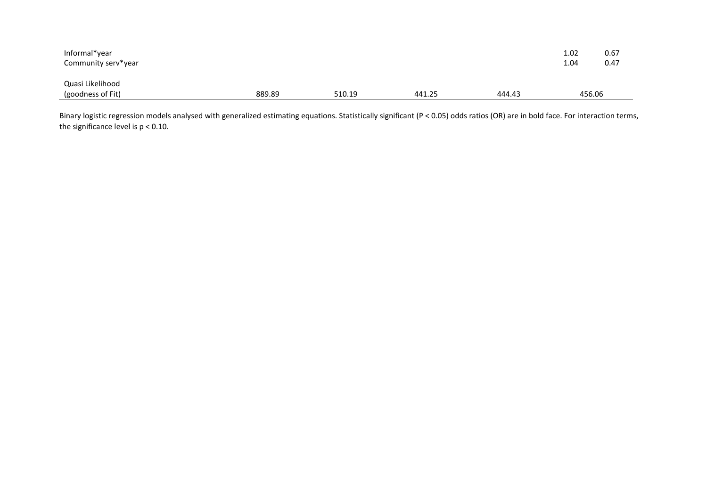| Informal*year<br>Community serv*year  |        |        |        |        | 1.02<br>1.04 | 0.67<br>0.47 |
|---------------------------------------|--------|--------|--------|--------|--------------|--------------|
| Quasi Likelihood<br>(goodness of Fit) | 889.89 | 510.19 | 441.25 | 444.43 | 456.06       |              |

Binary logistic regression models analysed with generalized estimating equations. Statistically significant (P < 0.05) odds ratios (OR) are in bold face. For interaction terms, the significance level is  $p < 0.10$ .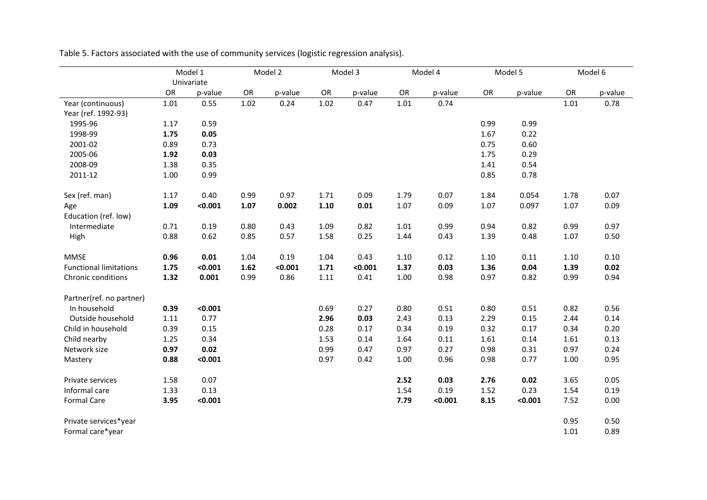|                               |      | Model 1    |      | Model 2 |          | Model 3 |          | Model 4 |      | Model 5 |      | Model 6 |
|-------------------------------|------|------------|------|---------|----------|---------|----------|---------|------|---------|------|---------|
|                               |      | Univariate |      |         |          |         |          |         |      |         |      |         |
|                               | OR   | p-value    | OR   | p-value | OR       | p-value | OR       | p-value | OR   | p-value | OR   | p-value |
| Year (continuous)             | 1.01 | 0.55       | 1.02 | 0.24    | $1.02\,$ | 0.47    | 1.01     | 0.74    |      |         | 1.01 | 0.78    |
| Year (ref. 1992-93)           |      |            |      |         |          |         |          |         |      |         |      |         |
| 1995-96                       | 1.17 | 0.59       |      |         |          |         |          |         | 0.99 | 0.99    |      |         |
| 1998-99                       | 1.75 | 0.05       |      |         |          |         |          |         | 1.67 | 0.22    |      |         |
| 2001-02                       | 0.89 | 0.73       |      |         |          |         |          |         | 0.75 | 0.60    |      |         |
| 2005-06                       | 1.92 | 0.03       |      |         |          |         |          |         | 1.75 | 0.29    |      |         |
| 2008-09                       | 1.38 | 0.35       |      |         |          |         |          |         | 1.41 | 0.54    |      |         |
| 2011-12                       | 1.00 | 0.99       |      |         |          |         |          |         | 0.85 | 0.78    |      |         |
| Sex (ref. man)                | 1.17 | 0.40       | 0.99 | 0.97    | 1.71     | 0.09    | 1.79     | 0.07    | 1.84 | 0.054   | 1.78 | 0.07    |
| Age                           | 1.09 | < 0.001    | 1.07 | 0.002   | 1.10     | 0.01    | 1.07     | 0.09    | 1.07 | 0.097   | 1.07 | 0.09    |
| Education (ref. low)          |      |            |      |         |          |         |          |         |      |         |      |         |
| Intermediate                  | 0.71 | 0.19       | 0.80 | 0.43    | 1.09     | 0.82    | $1.01\,$ | 0.99    | 0.94 | 0.82    | 0.99 | 0.97    |
| High                          | 0.88 | 0.62       | 0.85 | 0.57    | 1.58     | 0.25    | 1.44     | 0.43    | 1.39 | 0.48    | 1.07 | 0.50    |
| <b>MMSE</b>                   | 0.96 | 0.01       | 1.04 | 0.19    | 1.04     | 0.43    | 1.10     | 0.12    | 1.10 | 0.11    | 1.10 | 0.10    |
| <b>Functional limitations</b> | 1.75 | < 0.001    | 1.62 | < 0.001 | 1.71     | < 0.001 | 1.37     | 0.03    | 1.36 | 0.04    | 1.39 | 0.02    |
| Chronic conditions            | 1.32 | 0.001      | 0.99 | 0.86    | $1.11\,$ | 0.41    | 1.00     | 0.98    | 0.97 | 0.82    | 0.99 | 0.94    |
| Partner(ref. no partner)      |      |            |      |         |          |         |          |         |      |         |      |         |
| In household                  | 0.39 | < 0.001    |      |         | 0.69     | 0.27    | 0.80     | 0.51    | 0.80 | 0.51    | 0.82 | 0.56    |
| Outside household             | 1.11 | 0.77       |      |         | 2.96     | 0.03    | 2.43     | 0.13    | 2.29 | 0.15    | 2.44 | 0.14    |
| Child in household            | 0.39 | 0.15       |      |         | 0.28     | 0.17    | 0.34     | 0.19    | 0.32 | 0.17    | 0.34 | 0.20    |
| Child nearby                  | 1.25 | 0.34       |      |         | 1.53     | 0.14    | 1.64     | 0.11    | 1.61 | 0.14    | 1.61 | 0.13    |
| Network size                  | 0.97 | 0.02       |      |         | 0.99     | 0.47    | 0.97     | 0.27    | 0.98 | 0.31    | 0.97 | 0.24    |
| Mastery                       | 0.88 | < 0.001    |      |         | 0.97     | 0.42    | 1.00     | 0.96    | 0.98 | 0.77    | 1.00 | 0.95    |
| Private services              | 1.58 | 0.07       |      |         |          |         | 2.52     | 0.03    | 2.76 | 0.02    | 3.65 | 0.05    |
| Informal care                 | 1.33 | 0.13       |      |         |          |         | 1.54     | 0.19    | 1.52 | 0.23    | 1.54 | 0.19    |
| <b>Formal Care</b>            | 3.95 | < 0.001    |      |         |          |         | 7.79     | < 0.001 | 8.15 | < 0.001 | 7.52 | 0.00    |
| Private services*year         |      |            |      |         |          |         |          |         |      |         | 0.95 | 0.50    |
| Formal care*year              |      |            |      |         |          |         |          |         |      |         | 1.01 | 0.89    |

Table 5. Factors associated with the use of community services (logistic regression analysis).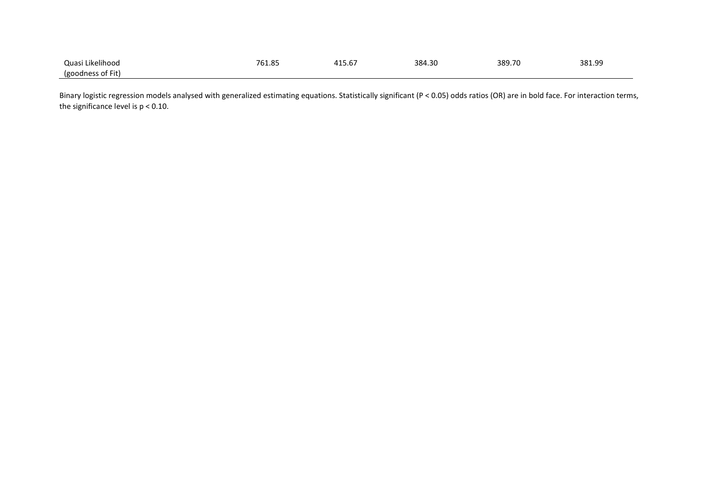| .<br>Juasi<br>ikelihood               | 76'<br>റ<br>01.03 | $\sim$ $\sim$<br>/15.6، | 384.30 | 389.70 | 381.99 |
|---------------------------------------|-------------------|-------------------------|--------|--------|--------|
| <b>COODINGS</b><br>nt<br>Fit<br>ֿים י |                   |                         |        |        |        |

Binary logistic regression models analysed with generalized estimating equations. Statistically significant (P < 0.05) odds ratios (OR) are in bold face. For interaction terms, the significance level is  $p < 0.10$ .